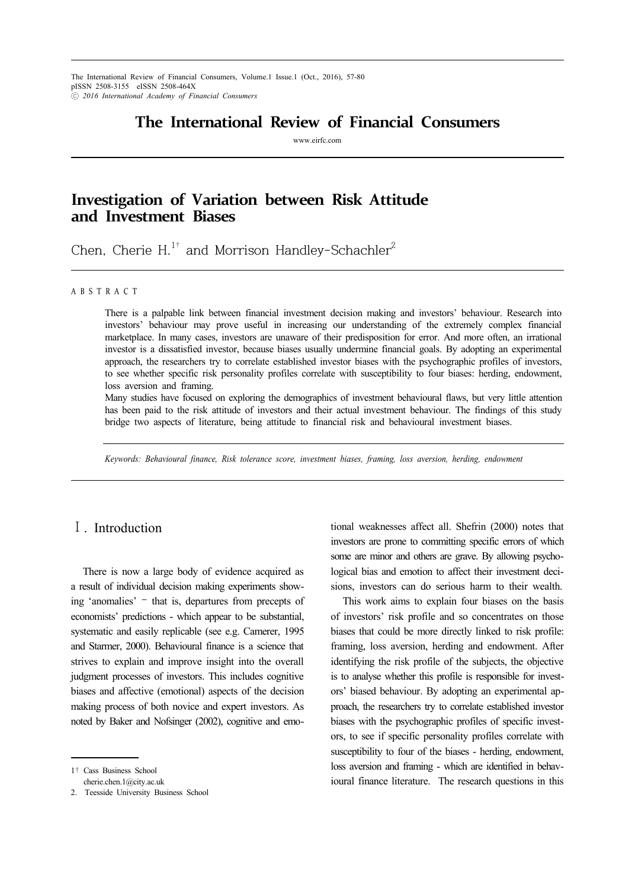The International Review of Financial Consumers, Volume.1 Issue.1 (Oct., 2016), 57-80 pISSN 2508-3155 eISSN 2508-464X ⓒ *2016 International Academy of Financial Consumers*11

# **The International Review of Financial Consumers**

www.eirfc.com

# **Investigation of Variation between Risk Attitude and Investment Biases**

Chen, Cherie H.<sup>1†</sup> and Morrison Handley-Schachler<sup>2</sup>

### A B S T R A C T

There is a palpable link between financial investment decision making and investors' behaviour. Research into investors' behaviour may prove useful in increasing our understanding of the extremely complex financial marketplace. In many cases, investors are unaware of their predisposition for error. And more often, an irrational investor is a dissatisfied investor, because biases usually undermine financial goals. By adopting an experimental approach, the researchers try to correlate established investor biases with the psychographic profiles of investors, to see whether specific risk personality profiles correlate with susceptibility to four biases: herding, endowment, loss aversion and framing.

Many studies have focused on exploring the demographics of investment behavioural flaws, but very little attention has been paid to the risk attitude of investors and their actual investment behaviour. The findings of this study bridge two aspects of literature, being attitude to financial risk and behavioural investment biases.

*Keywords: Behavioural finance, Risk tolerance score, investment biases, framing, loss aversion, herding, endowment*

## Ⅰ. Introduction

There is now a large body of evidence acquired as a result of individual decision making experiments showing 'anomalies' – that is, departures from precepts of economists' predictions - which appear to be substantial, systematic and easily replicable (see e.g. Camerer, 1995 and Starmer, 2000). Behavioural finance is a science that strives to explain and improve insight into the overall judgment processes of investors. This includes cognitive biases and affective (emotional) aspects of the decision making process of both novice and expert investors. As noted by Baker and Nofsinger (2002), cognitive and emo-

2. Teesside University Business School

tional weaknesses affect all. Shefrin (2000) notes that investors are prone to committing specific errors of which some are minor and others are grave. By allowing psychological bias and emotion to affect their investment decisions, investors can do serious harm to their wealth.

This work aims to explain four biases on the basis of investors' risk profile and so concentrates on those biases that could be more directly linked to risk profile: framing, loss aversion, herding and endowment. After identifying the risk profile of the subjects, the objective is to analyse whether this profile is responsible for investors' biased behaviour. By adopting an experimental approach, the researchers try to correlate established investor biases with the psychographic profiles of specific investors, to see if specific personality profiles correlate with susceptibility to four of the biases - herding, endowment, loss aversion and framing - which are identified in behavioural finance literature. The research questions in this

<sup>1</sup>† Cass Business School cherie.chen.1@city.ac.uk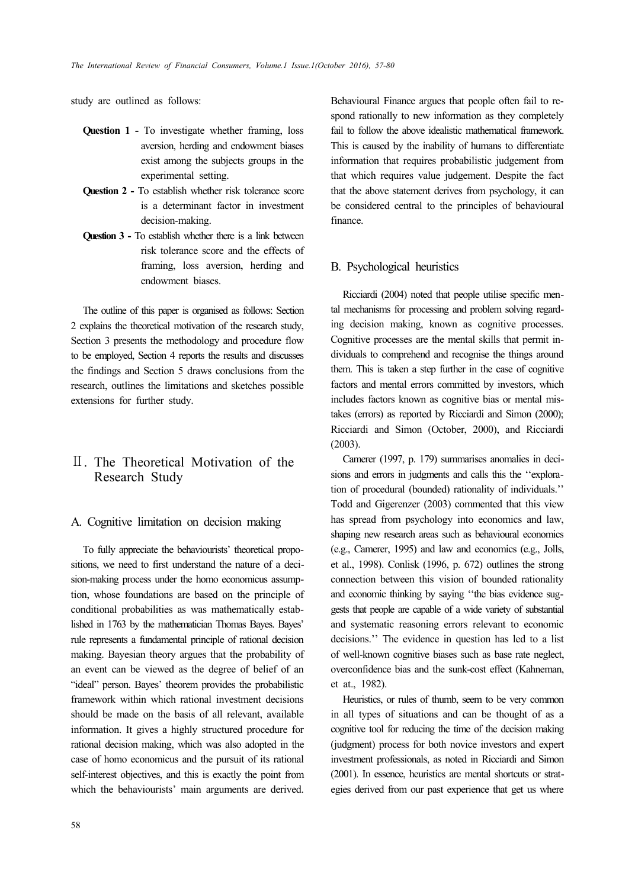study are outlined as follows:

- **Question 1** To investigate whether framing, loss aversion, herding and endowment biases exist among the subjects groups in the experimental setting.
- **Question 2** To establish whether risk tolerance score is a determinant factor in investment decision-making.
- **Question 3** To establish whether there is a link between risk tolerance score and the effects of framing, loss aversion, herding and endowment biases.

The outline of this paper is organised as follows: Section 2 explains the theoretical motivation of the research study, Section 3 presents the methodology and procedure flow to be employed, Section 4 reports the results and discusses the findings and Section 5 draws conclusions from the research, outlines the limitations and sketches possible extensions for further study.

## Ⅱ. The Theoretical Motivation of the Research Study

## A. Cognitive limitation on decision making

To fully appreciate the behaviourists' theoretical propositions, we need to first understand the nature of a decision-making process under the homo economicus assumption, whose foundations are based on the principle of conditional probabilities as was mathematically established in 1763 by the mathematician Thomas Bayes. Bayes' rule represents a fundamental principle of rational decision making. Bayesian theory argues that the probability of an event can be viewed as the degree of belief of an "ideal" person. Bayes' theorem provides the probabilistic framework within which rational investment decisions should be made on the basis of all relevant, available information. It gives a highly structured procedure for rational decision making, which was also adopted in the case of homo economicus and the pursuit of its rational self-interest objectives, and this is exactly the point from which the behaviourists' main arguments are derived.

Behavioural Finance argues that people often fail to respond rationally to new information as they completely fail to follow the above idealistic mathematical framework. This is caused by the inability of humans to differentiate information that requires probabilistic judgement from that which requires value judgement. Despite the fact that the above statement derives from psychology, it can be considered central to the principles of behavioural finance.

### B. Psychological heuristics

Ricciardi (2004) noted that people utilise specific mental mechanisms for processing and problem solving regarding decision making, known as cognitive processes. Cognitive processes are the mental skills that permit individuals to comprehend and recognise the things around them. This is taken a step further in the case of cognitive factors and mental errors committed by investors, which includes factors known as cognitive bias or mental mistakes (errors) as reported by Ricciardi and Simon (2000); Ricciardi and Simon (October, 2000), and Ricciardi (2003).

Camerer (1997, p. 179) summarises anomalies in decisions and errors in judgments and calls this the ''exploration of procedural (bounded) rationality of individuals.'' Todd and Gigerenzer (2003) commented that this view has spread from psychology into economics and law, shaping new research areas such as behavioural economics (e.g., Camerer, 1995) and law and economics (e.g., Jolls, et al., 1998). Conlisk (1996, p. 672) outlines the strong connection between this vision of bounded rationality and economic thinking by saying ''the bias evidence suggests that people are capable of a wide variety of substantial and systematic reasoning errors relevant to economic decisions.'' The evidence in question has led to a list of well-known cognitive biases such as base rate neglect, overconfidence bias and the sunk-cost effect (Kahneman, et at., 1982).

Heuristics, or rules of thumb, seem to be very common in all types of situations and can be thought of as a cognitive tool for reducing the time of the decision making (judgment) process for both novice investors and expert investment professionals, as noted in Ricciardi and Simon (2001). In essence, heuristics are mental shortcuts or strategies derived from our past experience that get us where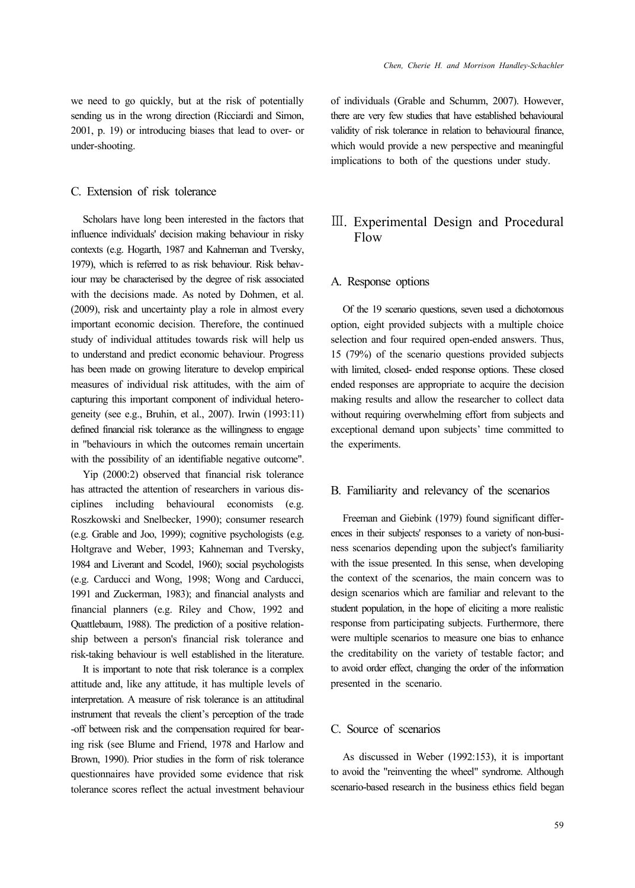we need to go quickly, but at the risk of potentially sending us in the wrong direction (Ricciardi and Simon, 2001, p. 19) or introducing biases that lead to over- or under-shooting.

## C. Extension of risk tolerance

Scholars have long been interested in the factors that influence individuals' decision making behaviour in risky contexts (e.g. Hogarth, 1987 and Kahneman and Tversky, 1979), which is referred to as risk behaviour. Risk behaviour may be characterised by the degree of risk associated with the decisions made. As noted by Dohmen, et al. (2009), risk and uncertainty play a role in almost every important economic decision. Therefore, the continued study of individual attitudes towards risk will help us to understand and predict economic behaviour. Progress has been made on growing literature to develop empirical measures of individual risk attitudes, with the aim of capturing this important component of individual heterogeneity (see e.g., Bruhin, et al., 2007). Irwin (1993:11) defined financial risk tolerance as the willingness to engage in "behaviours in which the outcomes remain uncertain with the possibility of an identifiable negative outcome".

Yip (2000:2) observed that financial risk tolerance has attracted the attention of researchers in various disciplines including behavioural economists (e.g. Roszkowski and Snelbecker, 1990); consumer research (e.g. Grable and Joo, 1999); cognitive psychologists (e.g. Holtgrave and Weber, 1993; Kahneman and Tversky, 1984 and Liverant and Scodel, 1960); social psychologists (e.g. Carducci and Wong, 1998; Wong and Carducci, 1991 and Zuckerman, 1983); and financial analysts and financial planners (e.g. Riley and Chow, 1992 and Quattlebaum, 1988). The prediction of a positive relationship between a person's financial risk tolerance and risk-taking behaviour is well established in the literature.

It is important to note that risk tolerance is a complex attitude and, like any attitude, it has multiple levels of interpretation. A measure of risk tolerance is an attitudinal instrument that reveals the client's perception of the trade -off between risk and the compensation required for bearing risk (see Blume and Friend, 1978 and Harlow and Brown, 1990). Prior studies in the form of risk tolerance questionnaires have provided some evidence that risk tolerance scores reflect the actual investment behaviour

of individuals (Grable and Schumm, 2007). However, there are very few studies that have established behavioural validity of risk tolerance in relation to behavioural finance, which would provide a new perspective and meaningful implications to both of the questions under study.

## Ⅲ. Experimental Design and Procedural Flow

### A. Response options

Of the 19 scenario questions, seven used a dichotomous option, eight provided subjects with a multiple choice selection and four required open-ended answers. Thus, 15 (79%) of the scenario questions provided subjects with limited, closed- ended response options. These closed ended responses are appropriate to acquire the decision making results and allow the researcher to collect data without requiring overwhelming effort from subjects and exceptional demand upon subjects' time committed to the experiments.

## B. Familiarity and relevancy of the scenarios

Freeman and Giebink (1979) found significant differences in their subjects' responses to a variety of non-business scenarios depending upon the subject's familiarity with the issue presented. In this sense, when developing the context of the scenarios, the main concern was to design scenarios which are familiar and relevant to the student population, in the hope of eliciting a more realistic response from participating subjects. Furthermore, there were multiple scenarios to measure one bias to enhance the creditability on the variety of testable factor; and to avoid order effect, changing the order of the information presented in the scenario.

## C. Source of scenarios

As discussed in Weber (1992:153), it is important to avoid the "reinventing the wheel" syndrome. Although scenario-based research in the business ethics field began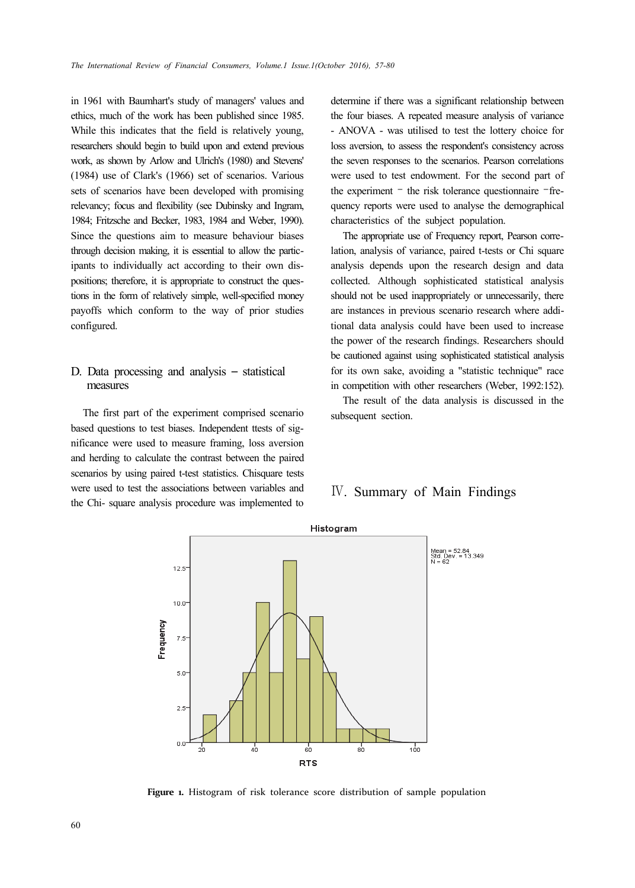in 1961 with Baumhart's study of managers' values and ethics, much of the work has been published since 1985. While this indicates that the field is relatively young, researchers should begin to build upon and extend previous work, as shown by Arlow and Ulrich's (1980) and Stevens' (1984) use of Clark's (1966) set of scenarios. Various sets of scenarios have been developed with promising relevancy; focus and flexibility (see Dubinsky and Ingram, 1984; Fritzsche and Becker, 1983, 1984 and Weber, 1990). Since the questions aim to measure behaviour biases through decision making, it is essential to allow the participants to individually act according to their own dispositions; therefore, it is appropriate to construct the questions in the form of relatively simple, well-specified money payoffs which conform to the way of prior studies configured.

## D. Data processing and analysis – statistical measures

The first part of the experiment comprised scenario based questions to test biases. Independent ttests of significance were used to measure framing, loss aversion and herding to calculate the contrast between the paired scenarios by using paired t-test statistics. Chisquare tests were used to test the associations between variables and the Chi- square analysis procedure was implemented to determine if there was a significant relationship between the four biases. A repeated measure analysis of variance - ANOVA - was utilised to test the lottery choice for loss aversion, to assess the respondent's consistency across the seven responses to the scenarios. Pearson correlations were used to test endowment. For the second part of the experiment – the risk tolerance questionnaire –frequency reports were used to analyse the demographical characteristics of the subject population.

The appropriate use of Frequency report, Pearson correlation, analysis of variance, paired t-tests or Chi square analysis depends upon the research design and data collected. Although sophisticated statistical analysis should not be used inappropriately or unnecessarily, there are instances in previous scenario research where additional data analysis could have been used to increase the power of the research findings. Researchers should be cautioned against using sophisticated statistical analysis for its own sake, avoiding a "statistic technique" race in competition with other researchers (Weber, 1992:152).

The result of the data analysis is discussed in the subsequent section.

## Ⅳ. Summary of Main Findings



**Figure 1.** Histogram of risk tolerance score distribution of sample population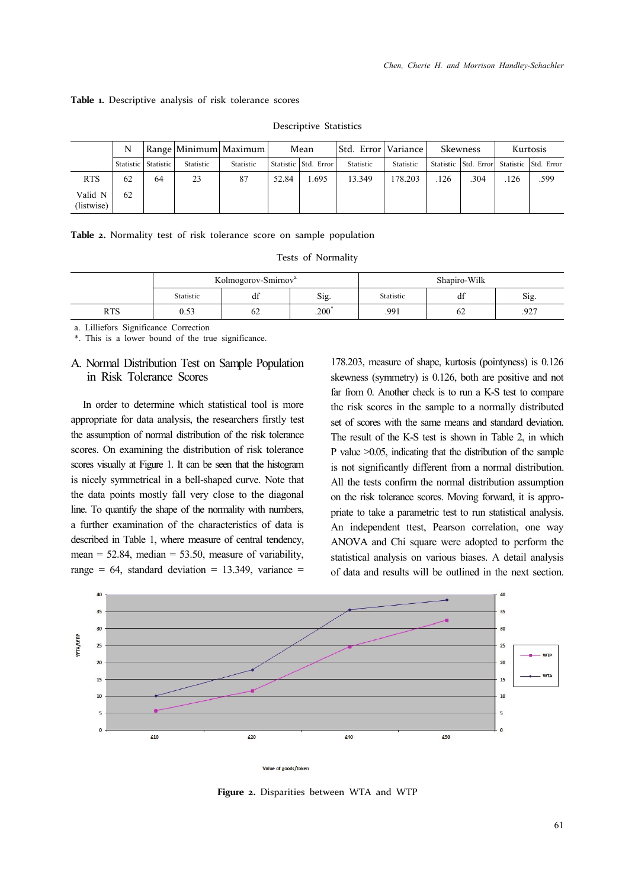#### **Table 1.** Descriptive analysis of risk tolerance scores

|                       | N  |                       |                  | Range   Minimum   Maximum | Mean  |                        | Std. Error   Variance |           | <b>Skewness</b> |                                           | Kurtosis |      |
|-----------------------|----|-----------------------|------------------|---------------------------|-------|------------------------|-----------------------|-----------|-----------------|-------------------------------------------|----------|------|
|                       |    | Statistic   Statistic | <b>Statistic</b> | Statistic                 |       | Statistic   Std. Error | Statistic             | Statistic |                 | Statistic Std. Error Statistic Std. Error |          |      |
| <b>RTS</b>            | 62 | 64                    | 23               | 87                        | 52.84 | .695                   | 13.349                | 178.203   | .126            | .304                                      | .126     | .599 |
| Valid N<br>(listwise) | 62 |                       |                  |                           |       |                        |                       |           |                 |                                           |          |      |

Descriptive Statistics

| <b>Table 2.</b> Normality test of risk tolerance score on sample population |  |
|-----------------------------------------------------------------------------|--|
|-----------------------------------------------------------------------------|--|

Tests of Normality

|            |                  | Kolmogorov-Smirnov <sup>a</sup> |      | Shapiro-Wilk |    |      |  |
|------------|------------------|---------------------------------|------|--------------|----|------|--|
|            | <b>Statistic</b> | $\cdot$<br>dt                   | Sig. | Statistic    |    | Sig. |  |
| <b>RTS</b> | U.JJ             | 62                              | .200 | .991         | 62 | .927 |  |

a. Lilliefors Significance Correction

\*. This is a lower bound of the true significance.

## A. Normal Distribution Test on Sample Population in Risk Tolerance Scores

In order to determine which statistical tool is more appropriate for data analysis, the researchers firstly test the assumption of normal distribution of the risk tolerance scores. On examining the distribution of risk tolerance scores visually at Figure 1. It can be seen that the histogram is nicely symmetrical in a bell-shaped curve. Note that the data points mostly fall very close to the diagonal line. To quantify the shape of the normality with numbers, a further examination of the characteristics of data is described in Table 1, where measure of central tendency, mean =  $52.84$ , median =  $53.50$ , measure of variability, range =  $64$ , standard deviation = 13.349, variance = 178.203, measure of shape, kurtosis (pointyness) is 0.126 skewness (symmetry) is 0.126, both are positive and not far from 0. Another check is to run a K-S test to compare the risk scores in the sample to a normally distributed set of scores with the same means and standard deviation. The result of the K-S test is shown in Table 2, in which P value >0.05, indicating that the distribution of the sample is not significantly different from a normal distribution. All the tests confirm the normal distribution assumption on the risk tolerance scores. Moving forward, it is appropriate to take a parametric test to run statistical analysis. An independent ttest, Pearson correlation, one way ANOVA and Chi square were adopted to perform the statistical analysis on various biases. A detail analysis of data and results will be outlined in the next section.



Value of goods/token

**Figure 2.** Disparities between WTA and WTP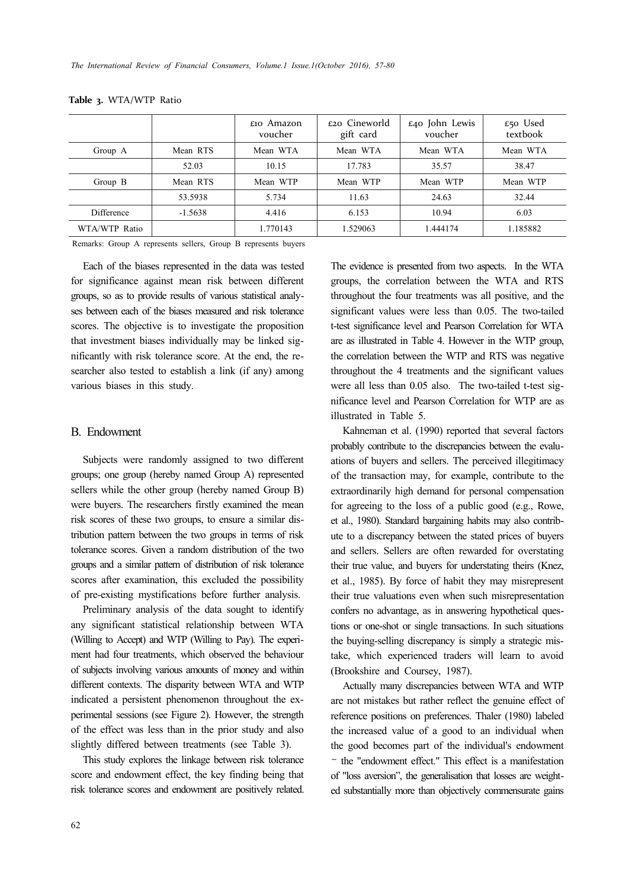|               |           | $\epsilon$ 10 Amazon<br>voucher | $\epsilon$ 20 Cineworld<br>gift card | $\pounds$ 40 John Lewis<br>voucher | £50 Used<br>textbook |
|---------------|-----------|---------------------------------|--------------------------------------|------------------------------------|----------------------|
| Group A       | Mean RTS  | Mean WTA                        | Mean WTA                             | Mean WTA                           | Mean WTA             |
|               | 52.03     | 10.15                           | 17.783                               | 35.57                              | 38.47                |
| Group B       | Mean RTS  | Mean WTP                        | Mean WTP                             | Mean WTP                           | Mean WTP             |
|               | 53.5938   | 5.734                           | 11.63                                | 24.63                              | 32.44                |
| Difference    | $-1.5638$ | 4.416                           | 6.153                                | 10.94                              | 6.03                 |
| WTA/WTP Ratio |           | 1.770143                        | 1.529063                             | 1.444174                           | 1.185882             |

|  | T <b>able 3.</b> WTA/WTP Ratio |  |
|--|--------------------------------|--|
|--|--------------------------------|--|

Remarks: Group A represents sellers, Group B represents buyers

Each of the biases represented in the data was tested for significance against mean risk between different groups, so as to provide results of various statistical analyses between each of the biases measured and risk tolerance scores. The objective is to investigate the proposition that investment biases individually may be linked significantly with risk tolerance score. At the end, the researcher also tested to establish a link (if any) among various biases in this study.

### B. Endowment

Subjects were randomly assigned to two different groups; one group (hereby named Group A) represented sellers while the other group (hereby named Group B) were buyers. The researchers firstly examined the mean risk scores of these two groups, to ensure a similar distribution pattern between the two groups in terms of risk tolerance scores. Given a random distribution of the two groups and a similar pattern of distribution of risk tolerance scores after examination, this excluded the possibility of pre-existing mystifications before further analysis.

Preliminary analysis of the data sought to identify any significant statistical relationship between WTA (Willing to Accept) and WTP (Willing to Pay). The experiment had four treatments, which observed the behaviour of subjects involving various amounts of money and within different contexts. The disparity between WTA and WTP indicated a persistent phenomenon throughout the experimental sessions (see Figure 2). However, the strength of the effect was less than in the prior study and also slightly differed between treatments (see Table 3).

This study explores the linkage between risk tolerance score and endowment effect, the key finding being that risk tolerance scores and endowment are positively related. The evidence is presented from two aspects. In the WTA groups, the correlation between the WTA and RTS throughout the four treatments was all positive, and the significant values were less than 0.05. The two-tailed t-test significance level and Pearson Correlation for WTA are as illustrated in Table 4. However in the WTP group, the correlation between the WTP and RTS was negative throughout the 4 treatments and the significant values were all less than 0.05 also. The two-tailed t-test significance level and Pearson Correlation for WTP are as illustrated in Table 5.

Kahneman et al. (1990) reported that several factors probably contribute to the discrepancies between the evaluations of buyers and sellers. The perceived illegitimacy of the transaction may, for example, contribute to the extraordinarily high demand for personal compensation for agreeing to the loss of a public good (e.g., Rowe, et al., 1980). Standard bargaining habits may also contribute to a discrepancy between the stated prices of buyers and sellers. Sellers are often rewarded for overstating their true value, and buyers for understating theirs (Knez, et al., 1985). By force of habit they may misrepresent their true valuations even when such misrepresentation confers no advantage, as in answering hypothetical questions or one-shot or single transactions. In such situations the buying-selling discrepancy is simply a strategic mistake, which experienced traders will learn to avoid (Brookshire and Coursey, 1987).

Actually many discrepancies between WTA and WTP are not mistakes but rather reflect the genuine effect of reference positions on preferences. Thaler (1980) labeled the increased value of a good to an individual when the good becomes part of the individual's endowment – the "endowment effect." This effect is a manifestation of "loss aversion", the generalisation that losses are weighted substantially more than objectively commensurate gains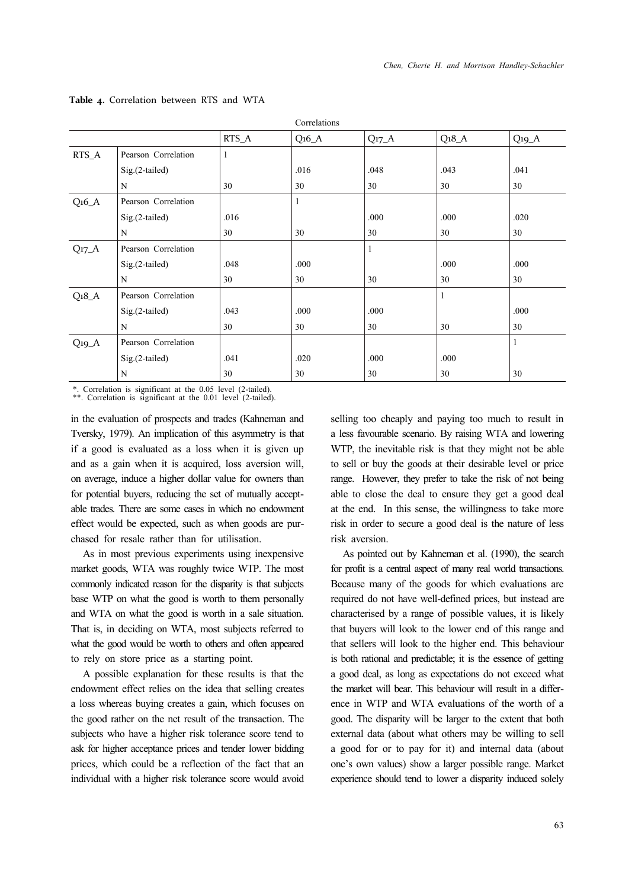|                   |                     |         | Correlations |           |              |          |
|-------------------|---------------------|---------|--------------|-----------|--------------|----------|
|                   |                     | $RTS_A$ | $Q_16_A$     | $Q_{17}A$ | $Q_18_A$     | $Q_1Q_A$ |
| RTS_A             | Pearson Correlation | 1       |              |           |              |          |
|                   | Sig.(2-tailed)      |         | .016         | .048      | .043         | .041     |
|                   | N                   | 30      | 30           | 30        | 30           | 30       |
| $Q16_A$           | Pearson Correlation |         | $\mathbf{1}$ |           |              |          |
|                   | Sig.(2-tailed)      | .016    |              | .000      | .000         | .020     |
|                   | N                   | 30      | 30           | 30        | 30           | 30       |
| $Q_{17}A$         | Pearson Correlation |         |              | 1         |              |          |
|                   | $Sig.(2-tailed)$    | .048    | .000         |           | .000         | .000     |
|                   | N                   | 30      | 30           | 30        | 30           | 30       |
| Q <sub>18</sub> A | Pearson Correlation |         |              |           | $\mathbf{1}$ |          |
|                   | Sig.(2-tailed)      | .043    | .000         | .000      |              | .000     |
|                   | N                   | 30      | 30           | 30        | 30           | 30       |
| $Q_1Q_A$          | Pearson Correlation |         |              |           |              | 1        |
|                   | Sig.(2-tailed)      | .041    | .020         | .000      | .000         |          |
|                   | N                   | 30      | 30           | 30        | 30           | 30       |

#### **Table 4.** Correlation between RTS and WTA

\*. Correlation is significant at the 0.05 level (2-tailed).

\*\*. Correlation is significant at the 0.01 level (2-tailed).

in the evaluation of prospects and trades (Kahneman and Tversky, 1979). An implication of this asymmetry is that if a good is evaluated as a loss when it is given up and as a gain when it is acquired, loss aversion will, on average, induce a higher dollar value for owners than for potential buyers, reducing the set of mutually acceptable trades. There are some cases in which no endowment effect would be expected, such as when goods are purchased for resale rather than for utilisation.

As in most previous experiments using inexpensive market goods, WTA was roughly twice WTP. The most commonly indicated reason for the disparity is that subjects base WTP on what the good is worth to them personally and WTA on what the good is worth in a sale situation. That is, in deciding on WTA, most subjects referred to what the good would be worth to others and often appeared to rely on store price as a starting point.

A possible explanation for these results is that the endowment effect relies on the idea that selling creates a loss whereas buying creates a gain, which focuses on the good rather on the net result of the transaction. The subjects who have a higher risk tolerance score tend to ask for higher acceptance prices and tender lower bidding prices, which could be a reflection of the fact that an individual with a higher risk tolerance score would avoid selling too cheaply and paying too much to result in a less favourable scenario. By raising WTA and lowering WTP, the inevitable risk is that they might not be able to sell or buy the goods at their desirable level or price range. However, they prefer to take the risk of not being able to close the deal to ensure they get a good deal at the end. In this sense, the willingness to take more risk in order to secure a good deal is the nature of less risk aversion.

As pointed out by Kahneman et al. (1990), the search for profit is a central aspect of many real world transactions. Because many of the goods for which evaluations are required do not have well-defined prices, but instead are characterised by a range of possible values, it is likely that buyers will look to the lower end of this range and that sellers will look to the higher end. This behaviour is both rational and predictable; it is the essence of getting a good deal, as long as expectations do not exceed what the market will bear. This behaviour will result in a difference in WTP and WTA evaluations of the worth of a good. The disparity will be larger to the extent that both external data (about what others may be willing to sell a good for or to pay for it) and internal data (about one's own values) show a larger possible range. Market experience should tend to lower a disparity induced solely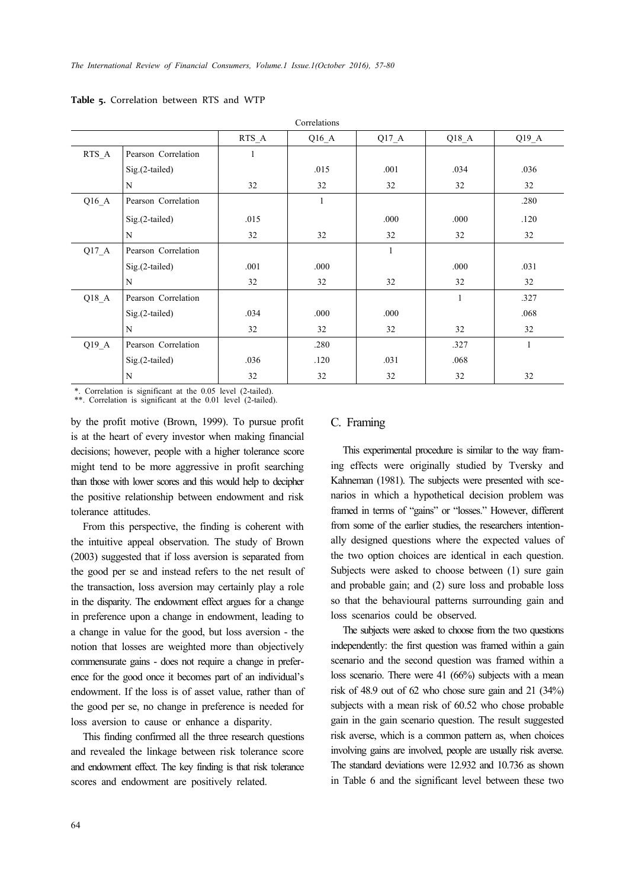|         | COLLUMBUR           |       |         |              |              |              |  |  |  |  |  |
|---------|---------------------|-------|---------|--------------|--------------|--------------|--|--|--|--|--|
|         |                     | RTS A | $Q16_A$ | $Q17_A$      | $Q18_A$      | $Q19_A$      |  |  |  |  |  |
| RTS A   | Pearson Correlation | 1     |         |              |              |              |  |  |  |  |  |
|         | Sig.(2-tailed)      |       | .015    | .001         | .034         | .036         |  |  |  |  |  |
|         | N                   | 32    | 32      | 32           | 32           | 32           |  |  |  |  |  |
| Q16A    | Pearson Correlation |       | 1       |              |              | .280         |  |  |  |  |  |
|         | $Sig.(2-tailed)$    | .015  |         | .000         | .000         | .120         |  |  |  |  |  |
|         | N                   | 32    | 32      | 32           | 32           | 32           |  |  |  |  |  |
| $Q17_A$ | Pearson Correlation |       |         | $\mathbf{1}$ |              |              |  |  |  |  |  |
|         | Sig.(2-tailed)      | .001  | .000    |              | .000         | .031         |  |  |  |  |  |
|         | N                   | 32    | 32      | 32           | 32           | 32           |  |  |  |  |  |
| Q18A    | Pearson Correlation |       |         |              | $\mathbf{1}$ | .327         |  |  |  |  |  |
|         | $Sig.(2-tailed)$    | .034  | .000    | .000         |              | .068         |  |  |  |  |  |
|         | N                   | 32    | 32      | 32           | 32           | 32           |  |  |  |  |  |
| $Q19_A$ | Pearson Correlation |       | .280    |              | .327         | $\mathbf{1}$ |  |  |  |  |  |
|         | $Sig.(2-tailed)$    | .036  | .120    | .031         | .068         |              |  |  |  |  |  |
|         | N                   | 32    | 32      | 32           | 32           | 32           |  |  |  |  |  |

Correlations

**Table 5.** Correlation between RTS and WTP

\*. Correlation is significant at the 0.05 level (2-tailed). \*\*. Correlation is significant at the 0.01 level (2-tailed).

by the profit motive (Brown, 1999). To pursue profit is at the heart of every investor when making financial decisions; however, people with a higher tolerance score might tend to be more aggressive in profit searching than those with lower scores and this would help to decipher the positive relationship between endowment and risk tolerance attitudes.

From this perspective, the finding is coherent with the intuitive appeal observation. The study of Brown (2003) suggested that if loss aversion is separated from the good per se and instead refers to the net result of the transaction, loss aversion may certainly play a role in the disparity. The endowment effect argues for a change in preference upon a change in endowment, leading to a change in value for the good, but loss aversion - the notion that losses are weighted more than objectively commensurate gains - does not require a change in preference for the good once it becomes part of an individual's endowment. If the loss is of asset value, rather than of the good per se, no change in preference is needed for loss aversion to cause or enhance a disparity.

This finding confirmed all the three research questions and revealed the linkage between risk tolerance score and endowment effect. The key finding is that risk tolerance scores and endowment are positively related.

### C. Framing

This experimental procedure is similar to the way framing effects were originally studied by Tversky and Kahneman (1981). The subjects were presented with scenarios in which a hypothetical decision problem was framed in terms of "gains" or "losses." However, different from some of the earlier studies, the researchers intentionally designed questions where the expected values of the two option choices are identical in each question. Subjects were asked to choose between (1) sure gain and probable gain; and (2) sure loss and probable loss so that the behavioural patterns surrounding gain and loss scenarios could be observed.

The subjects were asked to choose from the two questions independently: the first question was framed within a gain scenario and the second question was framed within a loss scenario. There were 41 (66%) subjects with a mean risk of 48.9 out of 62 who chose sure gain and 21 (34%) subjects with a mean risk of 60.52 who chose probable gain in the gain scenario question. The result suggested risk averse, which is a common pattern as, when choices involving gains are involved, people are usually risk averse. The standard deviations were 12.932 and 10.736 as shown in Table 6 and the significant level between these two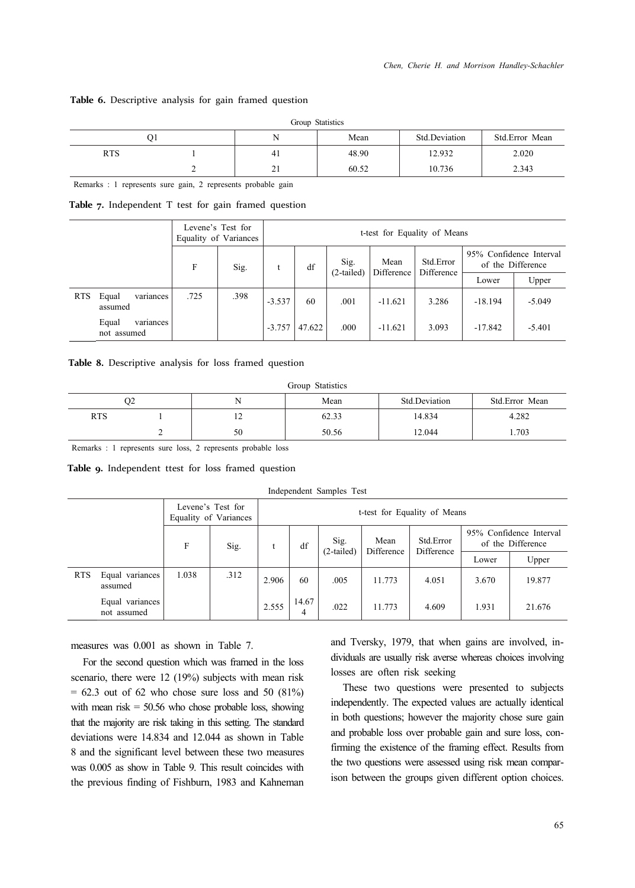#### **Table 6.** Descriptive analysis for gain framed question

|            | Group Statistics |     |       |               |                |  |  |  |  |  |
|------------|------------------|-----|-------|---------------|----------------|--|--|--|--|--|
| O1         |                  | N   | Mean  | Std.Deviation | Std.Error Mean |  |  |  |  |  |
| <b>RTS</b> |                  | -41 | 48.90 | 12.932        | 2.020          |  |  |  |  |  |
|            | ∼                | 21  | 60.52 | 10.736        | 2.343          |  |  |  |  |  |

Remarks : 1 represents sure gain, 2 represents probable gain

**Table 7.** Independent T test for gain framed question

|            |                                   |      | Levene's Test for<br>Equality of Variances | t-test for Equality of Means |        |              |                    |                         |                                              |          |  |
|------------|-----------------------------------|------|--------------------------------------------|------------------------------|--------|--------------|--------------------|-------------------------|----------------------------------------------|----------|--|
|            |                                   | F    | Sig.                                       |                              | df     | Sig.         | Mean<br>Difference | Std.Error<br>Difference | 95% Confidence Interval<br>of the Difference |          |  |
|            |                                   |      |                                            |                              |        | $(2-tailed)$ |                    |                         | Lower                                        | Upper    |  |
| <b>RTS</b> | variances<br>Equal<br>assumed     | .725 | .398                                       | $-3.537$                     | 60     | .001         | $-11.621$          | 3.286                   | $-18.194$                                    | $-5.049$ |  |
|            | Equal<br>variances<br>not assumed |      |                                            | $-3.757$                     | 47.622 | .000         | $-11.621$          | 3.093                   | $-17.842$                                    | $-5.401$ |  |

**Table 8.** Descriptive analysis for loss framed question

Group Statistics

|     | O2 |                | Mean  | Std.Deviation | Std.Error Mean |
|-----|----|----------------|-------|---------------|----------------|
| RTS |    | $\overline{ }$ | 62.33 | 14.834        | 4.282          |
|     |    | 50             | 50.56 | 12.044        | 1.703          |

Remarks : 1 represents sure loss, 2 represents probable loss

**Table 9.** Independent ttest for loss framed question

Independent Samples Test

|            |                                | Levene's Test for<br>Equality of Variances |      | t-test for Equality of Means |            |                      |                    |                         |                                              |        |
|------------|--------------------------------|--------------------------------------------|------|------------------------------|------------|----------------------|--------------------|-------------------------|----------------------------------------------|--------|
|            |                                | F                                          | Sig. | df                           |            | Sig.<br>$(2-tailed)$ | Mean<br>Difference | Std.Error<br>Difference | 95% Confidence Interval<br>of the Difference |        |
|            |                                |                                            |      |                              |            |                      |                    |                         | Lower                                        | Upper  |
| <b>RTS</b> | Equal variances<br>assumed     | 1.038                                      | .312 | 2.906                        | 60         | .005                 | 11.773             | 4.051                   | 3.670                                        | 19.877 |
|            | Equal variances<br>not assumed |                                            |      | 2.555                        | 14.67<br>4 | .022                 | 11.773             | 4.609                   | 1.931                                        | 21.676 |

measures was 0.001 as shown in Table 7.

For the second question which was framed in the loss scenario, there were 12 (19%) subjects with mean risk  $= 62.3$  out of 62 who chose sure loss and 50 (81%) with mean  $risk = 50.56$  who chose probable loss, showing that the majority are risk taking in this setting. The standard deviations were 14.834 and 12.044 as shown in Table 8 and the significant level between these two measures was 0.005 as show in Table 9. This result coincides with the previous finding of Fishburn, 1983 and Kahneman and Tversky, 1979, that when gains are involved, individuals are usually risk averse whereas choices involving losses are often risk seeking

These two questions were presented to subjects independently. The expected values are actually identical in both questions; however the majority chose sure gain and probable loss over probable gain and sure loss, confirming the existence of the framing effect. Results from the two questions were assessed using risk mean comparison between the groups given different option choices.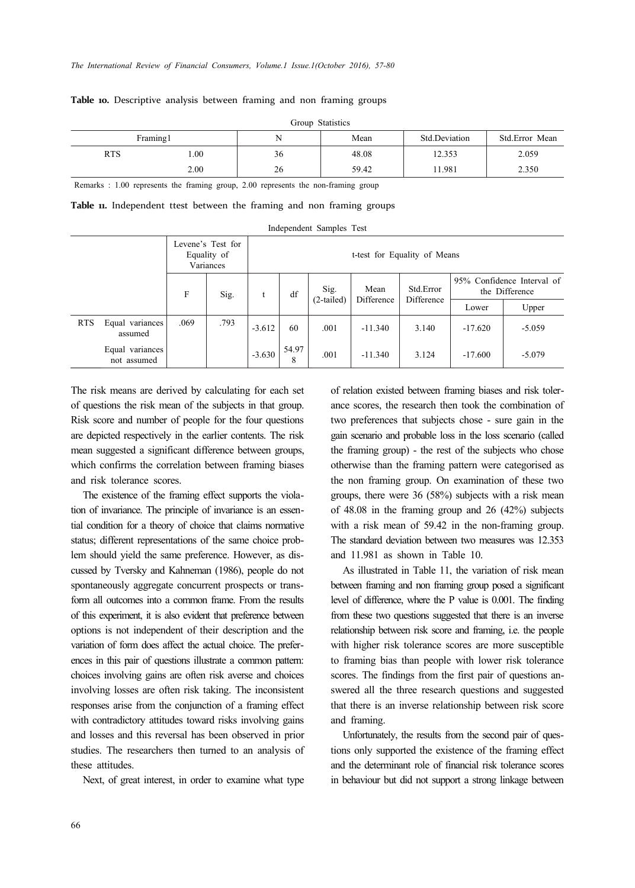| Group Statistics |          |    |       |               |                |  |  |  |  |
|------------------|----------|----|-------|---------------|----------------|--|--|--|--|
|                  | Framing1 |    | Mean  | Std.Deviation | Std.Error Mean |  |  |  |  |
| <b>RTS</b>       | .00.     | 36 | 48.08 | 12.353        | 2.059          |  |  |  |  |
|                  | 2.00     | 26 | 59.42 | 11.981        | 2.350          |  |  |  |  |

#### **Table 10.** Descriptive analysis between framing and non framing groups

Remarks : 1.00 represents the framing group, 2.00 represents the non-framing group

**Table 11.** Independent ttest between the framing and non framing groups

| Independent Samples Test |
|--------------------------|
|--------------------------|

|            |                                | Levene's Test for<br>Equality of<br>Variances |      |          | t-test for Equality of Means |                      |                    |                         |           |                                              |  |  |
|------------|--------------------------------|-----------------------------------------------|------|----------|------------------------------|----------------------|--------------------|-------------------------|-----------|----------------------------------------------|--|--|
|            |                                | F                                             | Sig. |          | df                           | Sig.<br>$(2-tailed)$ | Mean<br>Difference | Std.Error<br>Difference |           | 95% Confidence Interval of<br>the Difference |  |  |
|            |                                |                                               |      |          |                              |                      |                    |                         | Lower     | Upper                                        |  |  |
| <b>RTS</b> | Equal variances<br>assumed     | .069                                          | .793 | $-3.612$ | 60                           | .001                 | $-11.340$          | 3.140                   | $-17.620$ | $-5.059$                                     |  |  |
|            | Equal variances<br>not assumed |                                               |      | $-3.630$ | 54.97<br>8                   | .001                 | $-11.340$          | 3.124                   | $-17.600$ | $-5.079$                                     |  |  |

The risk means are derived by calculating for each set of questions the risk mean of the subjects in that group. Risk score and number of people for the four questions are depicted respectively in the earlier contents. The risk mean suggested a significant difference between groups, which confirms the correlation between framing biases and risk tolerance scores.

The existence of the framing effect supports the violation of invariance. The principle of invariance is an essential condition for a theory of choice that claims normative status; different representations of the same choice problem should yield the same preference. However, as discussed by Tversky and Kahneman (1986), people do not spontaneously aggregate concurrent prospects or transform all outcomes into a common frame. From the results of this experiment, it is also evident that preference between options is not independent of their description and the variation of form does affect the actual choice. The preferences in this pair of questions illustrate a common pattern: choices involving gains are often risk averse and choices involving losses are often risk taking. The inconsistent responses arise from the conjunction of a framing effect with contradictory attitudes toward risks involving gains and losses and this reversal has been observed in prior studies. The researchers then turned to an analysis of these attitudes.

Next, of great interest, in order to examine what type

of relation existed between framing biases and risk tolerance scores, the research then took the combination of two preferences that subjects chose - sure gain in the gain scenario and probable loss in the loss scenario (called the framing group) - the rest of the subjects who chose otherwise than the framing pattern were categorised as the non framing group. On examination of these two groups, there were 36 (58%) subjects with a risk mean of 48.08 in the framing group and 26 (42%) subjects with a risk mean of 59.42 in the non-framing group. The standard deviation between two measures was 12.353 and 11.981 as shown in Table 10.

As illustrated in Table 11, the variation of risk mean between framing and non framing group posed a significant level of difference, where the P value is 0.001. The finding from these two questions suggested that there is an inverse relationship between risk score and framing, i.e. the people with higher risk tolerance scores are more susceptible to framing bias than people with lower risk tolerance scores. The findings from the first pair of questions answered all the three research questions and suggested that there is an inverse relationship between risk score and framing.

Unfortunately, the results from the second pair of questions only supported the existence of the framing effect and the determinant role of financial risk tolerance scores in behaviour but did not support a strong linkage between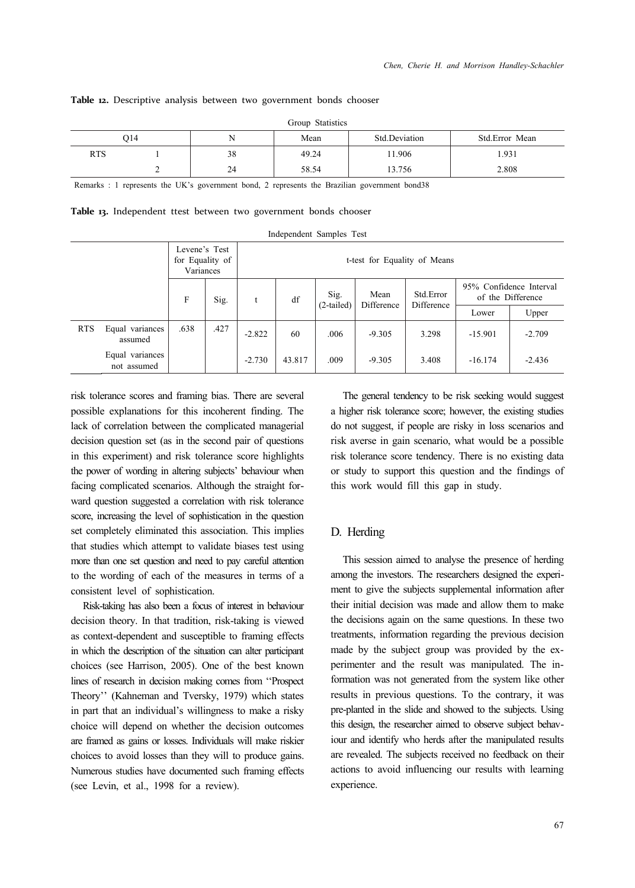#### **Table 12.** Descriptive analysis between two government bonds chooser

|            | Group Statistics |    |       |               |                |  |  |  |  |  |  |  |
|------------|------------------|----|-------|---------------|----------------|--|--|--|--|--|--|--|
|            | O <sub>14</sub>  | N  | Mean  | Std.Deviation | Std.Error Mean |  |  |  |  |  |  |  |
| <b>RTS</b> |                  | 38 | 49.24 | 11.906        | 1.931          |  |  |  |  |  |  |  |
|            |                  | 24 | 58.54 | 13.756        | 2.808          |  |  |  |  |  |  |  |

Remarks : 1 represents the UK's government bond, 2 represents the Brazilian government bond38

|  | Table 13. Independent ttest between two government bonds chooser |  |  |  |  |  |  |
|--|------------------------------------------------------------------|--|--|--|--|--|--|
|--|------------------------------------------------------------------|--|--|--|--|--|--|

|            |                                |                                               |      |          |                              | Independent Samples Test |                    |                          |                                              |          |  |
|------------|--------------------------------|-----------------------------------------------|------|----------|------------------------------|--------------------------|--------------------|--------------------------|----------------------------------------------|----------|--|
|            |                                | Levene's Test<br>for Equality of<br>Variances |      |          | t-test for Equality of Means |                          |                    |                          |                                              |          |  |
|            |                                | F                                             | Sig. | t        | df                           | Sig.<br>(2-tailed)       | Mean<br>Difference | Std. Error<br>Difference | 95% Confidence Interval<br>of the Difference |          |  |
|            |                                |                                               |      |          |                              |                          |                    |                          | Lower                                        | Upper    |  |
| <b>RTS</b> | Equal variances<br>assumed     | .638                                          | .427 | $-2.822$ | 60                           | .006                     | $-9.305$           | 3.298                    | $-15.901$                                    | $-2.709$ |  |
|            | Equal variances<br>not assumed |                                               |      | $-2.730$ | 43.817                       | .009                     | $-9.305$           | 3.408                    | $-16.174$                                    | $-2.436$ |  |

risk tolerance scores and framing bias. There are several possible explanations for this incoherent finding. The lack of correlation between the complicated managerial decision question set (as in the second pair of questions in this experiment) and risk tolerance score highlights the power of wording in altering subjects' behaviour when facing complicated scenarios. Although the straight forward question suggested a correlation with risk tolerance score, increasing the level of sophistication in the question set completely eliminated this association. This implies that studies which attempt to validate biases test using more than one set question and need to pay careful attention to the wording of each of the measures in terms of a consistent level of sophistication.

Risk-taking has also been a focus of interest in behaviour decision theory. In that tradition, risk-taking is viewed as context-dependent and susceptible to framing effects in which the description of the situation can alter participant choices (see Harrison, 2005). One of the best known lines of research in decision making comes from ''Prospect Theory'' (Kahneman and Tversky, 1979) which states in part that an individual's willingness to make a risky choice will depend on whether the decision outcomes are framed as gains or losses. Individuals will make riskier choices to avoid losses than they will to produce gains. Numerous studies have documented such framing effects (see Levin, et al., 1998 for a review).

The general tendency to be risk seeking would suggest a higher risk tolerance score; however, the existing studies do not suggest, if people are risky in loss scenarios and risk averse in gain scenario, what would be a possible risk tolerance score tendency. There is no existing data or study to support this question and the findings of this work would fill this gap in study.

#### D. Herding

This session aimed to analyse the presence of herding among the investors. The researchers designed the experiment to give the subjects supplemental information after their initial decision was made and allow them to make the decisions again on the same questions. In these two treatments, information regarding the previous decision made by the subject group was provided by the experimenter and the result was manipulated. The information was not generated from the system like other results in previous questions. To the contrary, it was pre-planted in the slide and showed to the subjects. Using this design, the researcher aimed to observe subject behaviour and identify who herds after the manipulated results are revealed. The subjects received no feedback on their actions to avoid influencing our results with learning experience.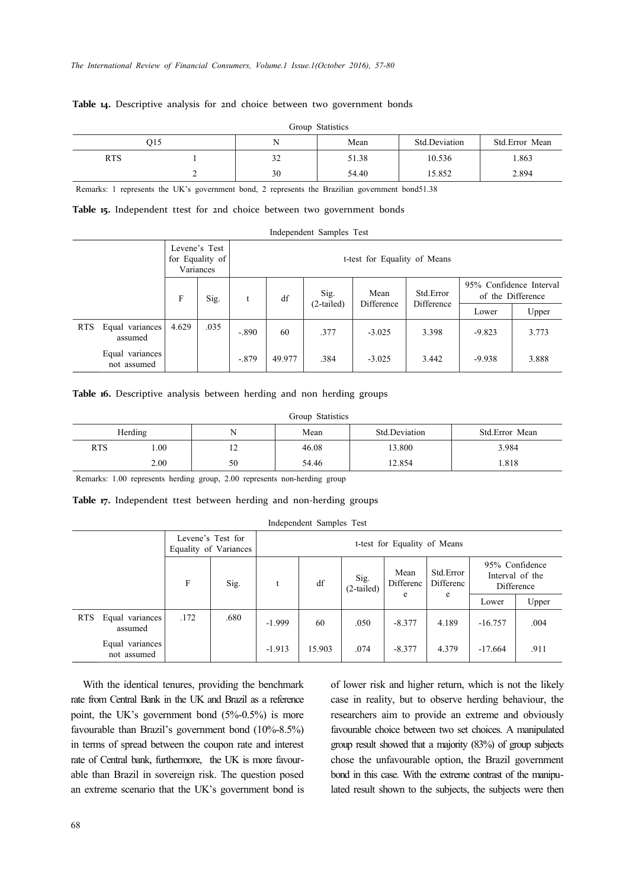#### **Table 14.** Descriptive analysis for 2nd choice between two government bonds

|            | Group Statistics |    |       |               |                |  |  |  |  |  |  |  |
|------------|------------------|----|-------|---------------|----------------|--|--|--|--|--|--|--|
|            | 015              |    | Mean  | Std.Deviation | Std.Error Mean |  |  |  |  |  |  |  |
| <b>RTS</b> |                  | 32 | 51.38 | 10.536        | 1.863          |  |  |  |  |  |  |  |
|            |                  | 30 | 54.40 | 15.852        | 2.894          |  |  |  |  |  |  |  |

Remarks: 1 represents the UK's government bond, 2 represents the Brazilian government bond51.38

**Table 15.** Independent ttest for 2nd choice between two government bonds

|     |                                | Independent Samples Test |                                               |              |                              |                    |                    |                         |                                              |       |  |  |  |
|-----|--------------------------------|--------------------------|-----------------------------------------------|--------------|------------------------------|--------------------|--------------------|-------------------------|----------------------------------------------|-------|--|--|--|
|     |                                |                          | Levene's Test<br>for Equality of<br>Variances |              | t-test for Equality of Means |                    |                    |                         |                                              |       |  |  |  |
|     |                                | F                        | Sig.                                          | $\mathbf{t}$ | df                           | Sig.<br>(2-tailed) | Mean<br>Difference | Std.Error<br>Difference | 95% Confidence Interval<br>of the Difference |       |  |  |  |
|     |                                |                          |                                               |              |                              |                    |                    |                         | Lower                                        | Upper |  |  |  |
| RTS | Equal variances<br>assumed     | 4.629                    | .035                                          | $-.890$      | 60                           | .377               | $-3.025$           | 3.398                   | $-9.823$                                     | 3.773 |  |  |  |
|     | Equal variances<br>not assumed |                          |                                               | $-.879$      | 49.977                       | .384               | $-3.025$           | 3.442                   | $-9.938$                                     | 3.888 |  |  |  |

**Table 16.** Descriptive analysis between herding and non herding groups

|            | Group Statistics |                |       |               |                |  |  |  |  |  |  |  |  |
|------------|------------------|----------------|-------|---------------|----------------|--|--|--|--|--|--|--|--|
|            | Herding          | N              | Mean  | Std.Deviation | Std.Error Mean |  |  |  |  |  |  |  |  |
| <b>RTS</b> | $00$ .           | $\overline{1}$ | 46.08 | 13.800        | 3.984          |  |  |  |  |  |  |  |  |
|            | 2.00             | 50             | 54.46 | 12.854        | 1.818          |  |  |  |  |  |  |  |  |

Remarks: 1.00 represents herding group, 2.00 represents non-herding group

Table 17. Independent ttest between herding and non-herding groups

Independent Samples Test

|     |                                |      | Levene's Test for<br>Equality of Variances | t-test for Equality of Means |        |                      |                   |                        |           |                                                 |  |  |
|-----|--------------------------------|------|--------------------------------------------|------------------------------|--------|----------------------|-------------------|------------------------|-----------|-------------------------------------------------|--|--|
|     |                                | F    | Sig.                                       |                              | df     | Sig.<br>$(2-tailed)$ | Mean<br>Differenc | Std.Error<br>Differenc |           | 95% Confidence<br>Interval of the<br>Difference |  |  |
|     |                                |      |                                            |                              |        |                      | e                 | e                      | Lower     | Upper                                           |  |  |
| RTS | Equal variances<br>assumed     | .172 | .680                                       | $-1.999$                     | 60     | .050                 | $-8.377$          | 4.189                  | $-16.757$ | .004                                            |  |  |
|     | Equal variances<br>not assumed |      |                                            | $-1.913$                     | 15.903 | .074                 | $-8.377$          | 4.379                  | $-17.664$ | .911                                            |  |  |

With the identical tenures, providing the benchmark rate from Central Bank in the UK and Brazil as a reference point, the UK's government bond (5%-0.5%) is more favourable than Brazil's government bond (10%-8.5%) in terms of spread between the coupon rate and interest rate of Central bank, furthermore, the UK is more favourable than Brazil in sovereign risk. The question posed an extreme scenario that the UK's government bond is of lower risk and higher return, which is not the likely case in reality, but to observe herding behaviour, the researchers aim to provide an extreme and obviously favourable choice between two set choices. A manipulated group result showed that a majority (83%) of group subjects chose the unfavourable option, the Brazil government bond in this case. With the extreme contrast of the manipulated result shown to the subjects, the subjects were then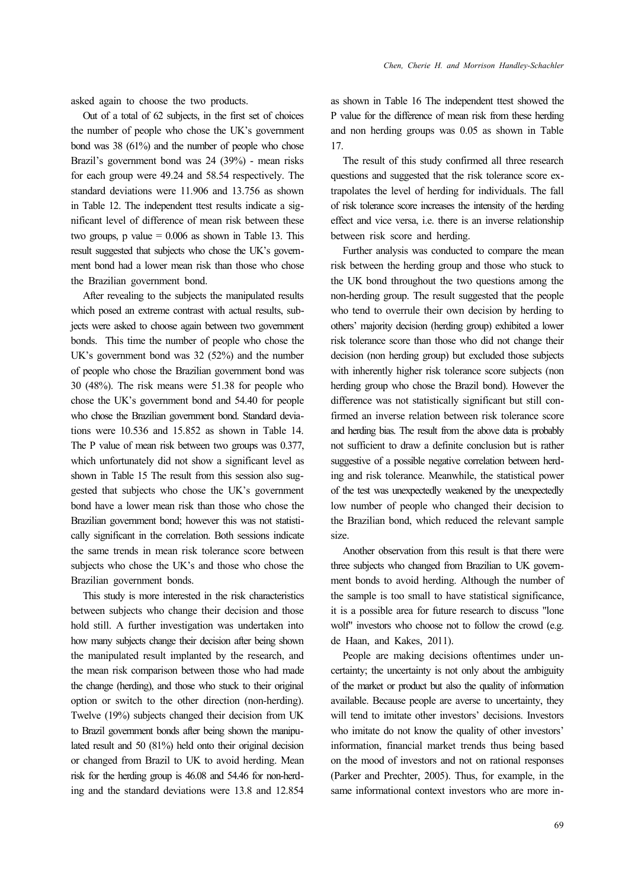asked again to choose the two products.

Out of a total of 62 subjects, in the first set of choices the number of people who chose the UK's government bond was 38 (61%) and the number of people who chose Brazil's government bond was 24 (39%) - mean risks for each group were 49.24 and 58.54 respectively. The standard deviations were 11.906 and 13.756 as shown in Table 12. The independent ttest results indicate a significant level of difference of mean risk between these two groups,  $p$  value = 0.006 as shown in Table 13. This result suggested that subjects who chose the UK's government bond had a lower mean risk than those who chose the Brazilian government bond.

After revealing to the subjects the manipulated results which posed an extreme contrast with actual results, subjects were asked to choose again between two government bonds. This time the number of people who chose the UK's government bond was 32 (52%) and the number of people who chose the Brazilian government bond was 30 (48%). The risk means were 51.38 for people who chose the UK's government bond and 54.40 for people who chose the Brazilian government bond. Standard deviations were 10.536 and 15.852 as shown in Table 14. The P value of mean risk between two groups was 0.377, which unfortunately did not show a significant level as shown in Table 15 The result from this session also suggested that subjects who chose the UK's government bond have a lower mean risk than those who chose the Brazilian government bond; however this was not statistically significant in the correlation. Both sessions indicate the same trends in mean risk tolerance score between subjects who chose the UK's and those who chose the Brazilian government bonds.

This study is more interested in the risk characteristics between subjects who change their decision and those hold still. A further investigation was undertaken into how many subjects change their decision after being shown the manipulated result implanted by the research, and the mean risk comparison between those who had made the change (herding), and those who stuck to their original option or switch to the other direction (non-herding). Twelve (19%) subjects changed their decision from UK to Brazil government bonds after being shown the manipulated result and 50 (81%) held onto their original decision or changed from Brazil to UK to avoid herding. Mean risk for the herding group is 46.08 and 54.46 for non-herding and the standard deviations were 13.8 and 12.854 as shown in Table 16 The independent ttest showed the P value for the difference of mean risk from these herding and non herding groups was 0.05 as shown in Table 17.

The result of this study confirmed all three research questions and suggested that the risk tolerance score extrapolates the level of herding for individuals. The fall of risk tolerance score increases the intensity of the herding effect and vice versa, i.e. there is an inverse relationship between risk score and herding.

Further analysis was conducted to compare the mean risk between the herding group and those who stuck to the UK bond throughout the two questions among the non-herding group. The result suggested that the people who tend to overrule their own decision by herding to others' majority decision (herding group) exhibited a lower risk tolerance score than those who did not change their decision (non herding group) but excluded those subjects with inherently higher risk tolerance score subjects (non herding group who chose the Brazil bond). However the difference was not statistically significant but still confirmed an inverse relation between risk tolerance score and herding bias. The result from the above data is probably not sufficient to draw a definite conclusion but is rather suggestive of a possible negative correlation between herding and risk tolerance. Meanwhile, the statistical power of the test was unexpectedly weakened by the unexpectedly low number of people who changed their decision to the Brazilian bond, which reduced the relevant sample size.

Another observation from this result is that there were three subjects who changed from Brazilian to UK government bonds to avoid herding. Although the number of the sample is too small to have statistical significance, it is a possible area for future research to discuss "lone wolf" investors who choose not to follow the crowd (e.g. de Haan, and Kakes, 2011).

People are making decisions oftentimes under uncertainty; the uncertainty is not only about the ambiguity of the market or product but also the quality of information available. Because people are averse to uncertainty, they will tend to imitate other investors' decisions. Investors who imitate do not know the quality of other investors' information, financial market trends thus being based on the mood of investors and not on rational responses (Parker and Prechter, 2005). Thus, for example, in the same informational context investors who are more in-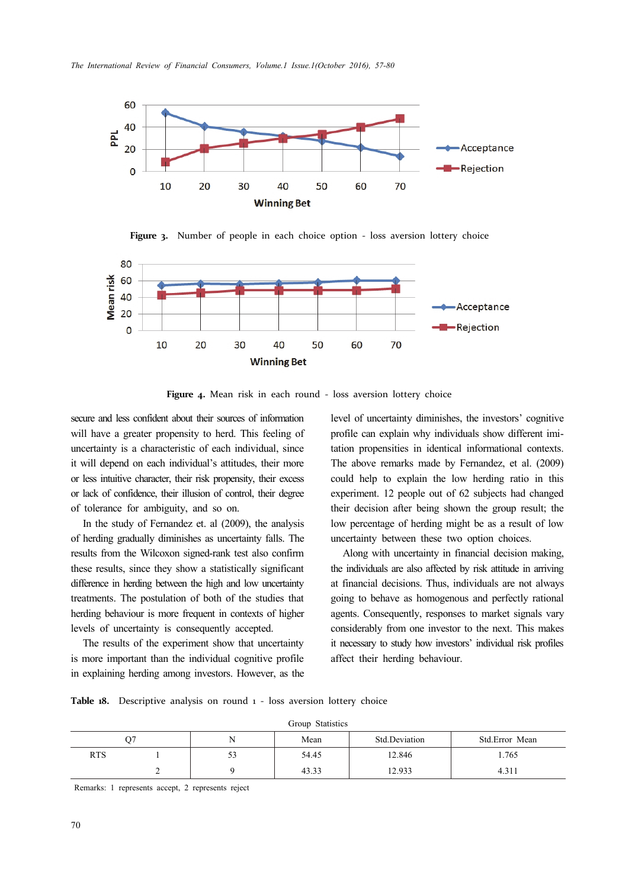





Figure 4. Mean risk in each round - loss aversion lottery choice

secure and less confident about their sources of information will have a greater propensity to herd. This feeling of uncertainty is a characteristic of each individual, since it will depend on each individual's attitudes, their more or less intuitive character, their risk propensity, their excess or lack of confidence, their illusion of control, their degree of tolerance for ambiguity, and so on.

In the study of Fernandez et. al (2009), the analysis of herding gradually diminishes as uncertainty falls. The results from the Wilcoxon signed-rank test also confirm these results, since they show a statistically significant difference in herding between the high and low uncertainty treatments. The postulation of both of the studies that herding behaviour is more frequent in contexts of higher levels of uncertainty is consequently accepted.

The results of the experiment show that uncertainty is more important than the individual cognitive profile in explaining herding among investors. However, as the level of uncertainty diminishes, the investors' cognitive profile can explain why individuals show different imitation propensities in identical informational contexts. The above remarks made by Fernandez, et al. (2009) could help to explain the low herding ratio in this experiment. 12 people out of 62 subjects had changed their decision after being shown the group result; the low percentage of herding might be as a result of low uncertainty between these two option choices.

Along with uncertainty in financial decision making, the individuals are also affected by risk attitude in arriving at financial decisions. Thus, individuals are not always going to behave as homogenous and perfectly rational agents. Consequently, responses to market signals vary considerably from one investor to the next. This makes it necessary to study how investors' individual risk profiles affect their herding behaviour.

Table 18. Descriptive analysis on round 1 - loss aversion lottery choice

Group Statistics

|            |  |    | $O.000$ $O.0000$ |               |                |  |
|------------|--|----|------------------|---------------|----------------|--|
|            |  |    | Mean             | Std.Deviation | Std.Error Mean |  |
| <b>RTS</b> |  | 53 | 54.45            | 12.846        | 1.765          |  |
|            |  |    | 43.33            | 12.933        | 4.311          |  |

Remarks: 1 represents accept, 2 represents reject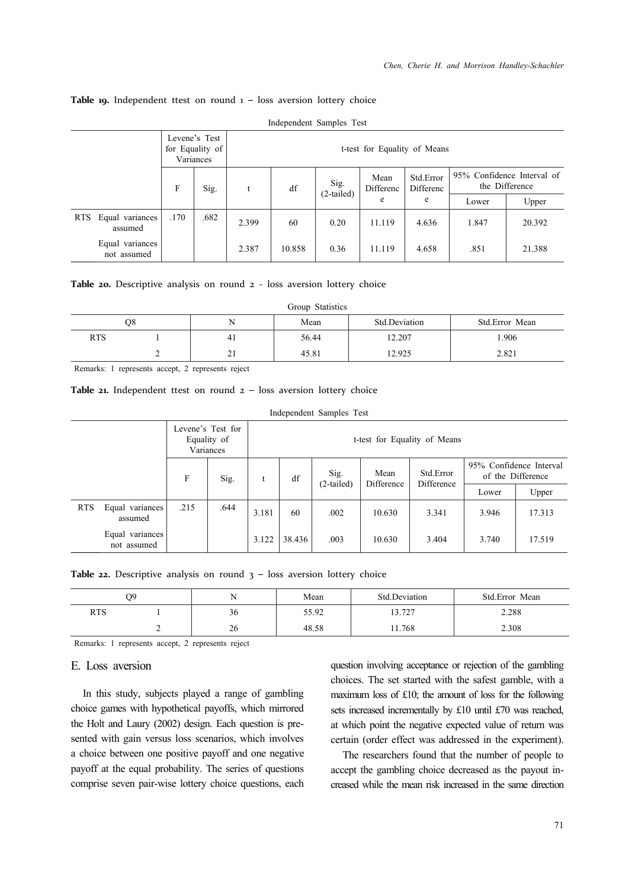|                                |      | Levene's Test<br>for Equality of<br>t-test for Equality of Means<br>Variances |       |        |                      |                   |                        |       |                                              |
|--------------------------------|------|-------------------------------------------------------------------------------|-------|--------|----------------------|-------------------|------------------------|-------|----------------------------------------------|
|                                | F    | Sig.                                                                          | t     | df     | Sig.<br>$(2-tailed)$ | Mean<br>Differenc | Std.Error<br>Differenc |       | 95% Confidence Interval of<br>the Difference |
|                                |      |                                                                               |       |        |                      | e                 | e                      | Lower | Upper                                        |
| RTS Equal variances<br>assumed | .170 | .682                                                                          | 2.399 | 60     | 0.20                 | 11.119            | 4.636                  | 1.847 | 20.392                                       |
| Equal variances<br>not assumed |      |                                                                               | 2.387 | 10.858 | 0.36                 | 11.119            | 4.658                  | .851  | 21.388                                       |

Independent Samples Test

#### Table **19.** Independent ttest on round 1 - loss aversion lottery choice

#### Table 20. Descriptive analysis on round 2 - loss aversion lottery choice

|            | Group Statistics |    |       |               |                |  |  |  |  |  |  |  |
|------------|------------------|----|-------|---------------|----------------|--|--|--|--|--|--|--|
|            | O8               |    | Mean  | Std.Deviation | Std.Error Mean |  |  |  |  |  |  |  |
| <b>RTS</b> |                  | 41 | 56.44 | 12.207        | 1.906          |  |  |  |  |  |  |  |
|            |                  | 21 | 45.81 | 12.925        | 2.821          |  |  |  |  |  |  |  |

Remarks: 1 represents accept, 2 represents reject

#### Table 21. Independent ttest on round 2 – loss aversion lottery choice

|            |                                |           | Levene's Test for<br>Equality of<br>Variances | t-test for Equality of Means |                          |                    |                         |       |                                              |        |
|------------|--------------------------------|-----------|-----------------------------------------------|------------------------------|--------------------------|--------------------|-------------------------|-------|----------------------------------------------|--------|
|            |                                | F<br>Sig. |                                               |                              | Sig.<br>df<br>(2-tailed) | Mean<br>Difference | Std.Error<br>Difference |       | 95% Confidence Interval<br>of the Difference |        |
|            |                                |           |                                               |                              |                          |                    |                         |       | Lower                                        | Upper  |
| <b>RTS</b> | Equal variances<br>assumed     | .215      | .644                                          | 3.181                        | 60                       | .002               | 10.630                  | 3.341 | 3.946                                        | 17.313 |
|            | Equal variances<br>not assumed |           |                                               | 3.122                        | 38.436                   | .003               | 10.630                  | 3.404 | 3.740                                        | 17.519 |

Independent Samples Test

Table 22. Descriptive analysis on round 3 - loss aversion lottery choice

|     | О9 | N  | Mean  | Std.Deviation | Std.Error Mean |
|-----|----|----|-------|---------------|----------------|
| RTS |    | 36 | 55.92 | 13.727        | 2.288          |
|     |    | 26 | 48.58 | . 1.768       | 2.308          |

Remarks: 1 represents accept, 2 represents reject

## E. Loss aversion

In this study, subjects played a range of gambling choice games with hypothetical payoffs, which mirrored the Holt and Laury (2002) design. Each question is presented with gain versus loss scenarios, which involves a choice between one positive payoff and one negative payoff at the equal probability. The series of questions comprise seven pair-wise lottery choice questions, each question involving acceptance or rejection of the gambling choices. The set started with the safest gamble, with a maximum loss of £10; the amount of loss for the following sets increased incrementally by £10 until £70 was reached, at which point the negative expected value of return was certain (order effect was addressed in the experiment).

The researchers found that the number of people to accept the gambling choice decreased as the payout increased while the mean risk increased in the same direction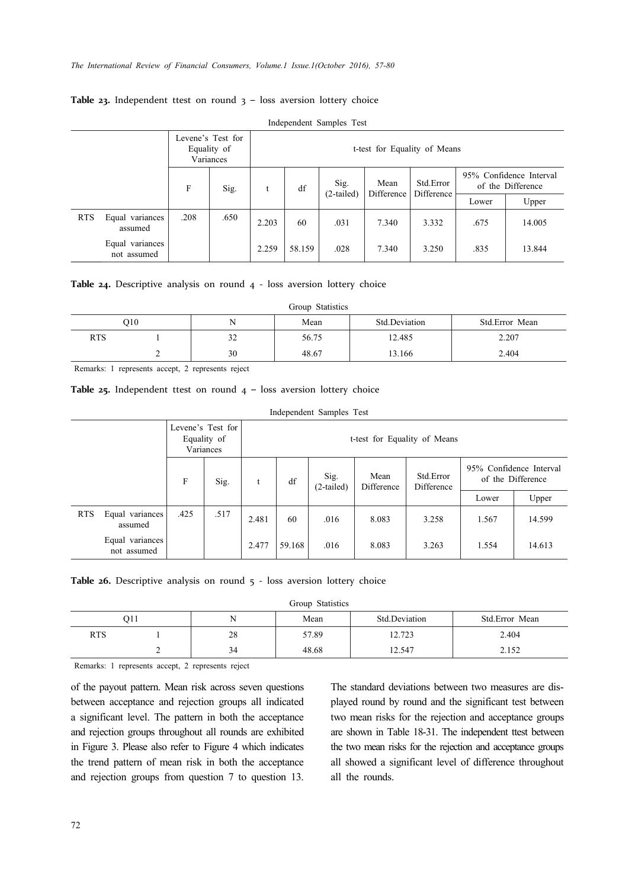|            |                                |      | Levene's Test for<br>Equality of<br>Variances |       | t-test for Equality of Means |              |                    |                         |       |                                              |  |
|------------|--------------------------------|------|-----------------------------------------------|-------|------------------------------|--------------|--------------------|-------------------------|-------|----------------------------------------------|--|
|            |                                | F    | Sig.                                          | df    |                              | Sig.         | Mean<br>Difference | Std.Error<br>Difference |       | 95% Confidence Interval<br>of the Difference |  |
|            |                                |      |                                               |       |                              | $(2-tailed)$ |                    |                         | Lower | Upper                                        |  |
| <b>RTS</b> | Equal variances<br>assumed     | .208 | .650                                          | 2.203 | 60                           | .031         | 7.340              | 3.332                   | .675  | 14.005                                       |  |
|            | Equal variances<br>not assumed |      |                                               | 2.259 | 58.159                       | .028         | 7.340              | 3.250                   | .835  | 13.844                                       |  |

### Table 23. Independent ttest on round 3 - loss aversion lottery choice

Independent Samples Test

|  | Table 24. Descriptive analysis on round 4 - loss aversion lottery choice |  |  |  |  |  |  |  |  |  |
|--|--------------------------------------------------------------------------|--|--|--|--|--|--|--|--|--|
|--|--------------------------------------------------------------------------|--|--|--|--|--|--|--|--|--|

|            | Group Statistics |    |       |               |                |  |  |  |  |  |  |
|------------|------------------|----|-------|---------------|----------------|--|--|--|--|--|--|
|            | O10              |    | Mean  | Std.Deviation | Std.Error Mean |  |  |  |  |  |  |
| <b>RTS</b> |                  | 32 | 56.75 | 12.485        | 2.207          |  |  |  |  |  |  |
|            |                  | 30 | 48.67 | 13.166        | 2.404          |  |  |  |  |  |  |

Remarks: 1 represents accept, 2 represents reject

**Table 25.** Independent ttest on round  $4 -$  loss aversion lottery choice

|            |                                |      |                                               |                                           |    | Independent Samples Test |                                               |       |                                              |       |
|------------|--------------------------------|------|-----------------------------------------------|-------------------------------------------|----|--------------------------|-----------------------------------------------|-------|----------------------------------------------|-------|
|            |                                |      | Levene's Test for<br>Equality of<br>Variances | t-test for Equality of Means              |    |                          |                                               |       |                                              |       |
|            |                                | F    | Sig.                                          | t                                         | df | Sig.<br>$(2-tailed)$     | Std.Error<br>Mean<br>Difference<br>Difference |       | 95% Confidence Interval<br>of the Difference |       |
|            |                                |      |                                               |                                           |    |                          |                                               |       | Lower                                        | Upper |
| <b>RTS</b> | Equal variances<br>assumed     | .425 | .517                                          | 2.481                                     | 60 | .016                     | 8.083                                         | 3.258 | 14.599<br>1.567                              |       |
|            | Equal variances<br>not assumed |      |                                               | 2.477<br>59.168<br>.016<br>8.083<br>3.263 |    |                          |                                               | 1.554 | 14.613                                       |       |

Table 26. Descriptive analysis on round 5 - loss aversion lottery choice

Group Statistics

|            | 011 |    | Mean  | Std.Deviation    | Std.Error Mean |
|------------|-----|----|-------|------------------|----------------|
| <b>RTS</b> |     | 28 | 57.89 | 12.722<br>12.123 | 2.404          |
|            |     | 34 | 48.68 | 12.547           | 2.152<br>2.IJZ |

Remarks: 1 represents accept, 2 represents reject

of the payout pattern. Mean risk across seven questions between acceptance and rejection groups all indicated a significant level. The pattern in both the acceptance and rejection groups throughout all rounds are exhibited in Figure 3. Please also refer to Figure 4 which indicates the trend pattern of mean risk in both the acceptance and rejection groups from question 7 to question 13.

The standard deviations between two measures are displayed round by round and the significant test between two mean risks for the rejection and acceptance groups are shown in Table 18-31. The independent ttest between the two mean risks for the rejection and acceptance groups all showed a significant level of difference throughout all the rounds.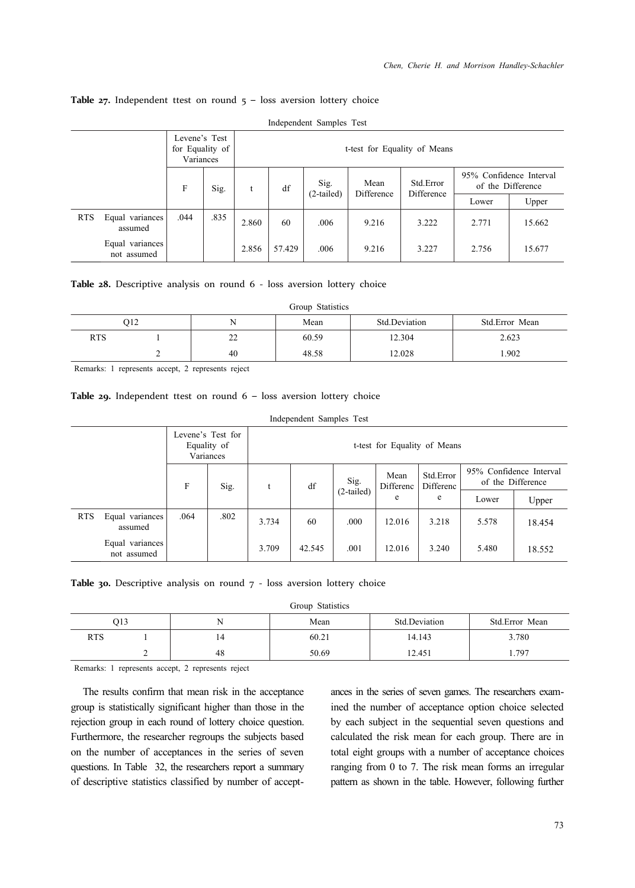#### Table 27. Independent ttest on round 5 - loss aversion lottery choice

|            |                                | Levene's Test<br>for Equality of<br>Variances |      | t-test for Equality of Means |        |                      |                    |                         |                         |                   |  |
|------------|--------------------------------|-----------------------------------------------|------|------------------------------|--------|----------------------|--------------------|-------------------------|-------------------------|-------------------|--|
|            |                                | F                                             | Sig. | t                            | df     | Sig.<br>$(2-tailed)$ | Mean<br>Difference | Std.Error<br>Difference | 95% Confidence Interval | of the Difference |  |
|            |                                |                                               |      |                              |        |                      |                    |                         | Lower                   | Upper             |  |
| <b>RTS</b> | Equal variances<br>assumed     | .044                                          | .835 | 2.860                        | 60     | .006                 | 9.216              | 3.222                   | 2.771                   | 15.662            |  |
|            | Equal variances<br>not assumed |                                               |      | 2.856                        | 57.429 | .006                 | 9.216              | 3.227                   | 2.756                   | 15.677            |  |

Independent Samples Test

#### Table 28. Descriptive analysis on round 6 - loss aversion lottery choice

|            | Group Statistics |    |       |               |                |  |  |  |  |  |  |
|------------|------------------|----|-------|---------------|----------------|--|--|--|--|--|--|
|            | O <sub>12</sub>  |    | Mean  | Std.Deviation | Std.Error Mean |  |  |  |  |  |  |
| <b>RTS</b> |                  | 22 | 60.59 | 12.304        | 2.623          |  |  |  |  |  |  |
|            |                  | 40 | 48.58 | 12.028        | 1.902          |  |  |  |  |  |  |

Remarks: 1 represents accept, 2 represents reject

#### **Table 29.** Independent ttest on round 6 – loss aversion lottery choice

|            |                                |      |                                               |       | Independent Samples Test     |              |                   |                        |                                              |        |  |
|------------|--------------------------------|------|-----------------------------------------------|-------|------------------------------|--------------|-------------------|------------------------|----------------------------------------------|--------|--|
|            |                                |      | Levene's Test for<br>Equality of<br>Variances |       | t-test for Equality of Means |              |                   |                        |                                              |        |  |
|            |                                | F    | Sig.                                          | t     | Sig.<br>df                   |              | Mean<br>Differenc | Std.Error<br>Differenc | 95% Confidence Interval<br>of the Difference |        |  |
|            |                                |      |                                               |       |                              | $(2-tailed)$ | e                 | e                      | Lower                                        | Upper  |  |
| <b>RTS</b> | Equal variances<br>assumed     | .064 | .802                                          | 3.734 | 60                           | .000         | 12.016            | 3.218                  | 5.578                                        | 18.454 |  |
|            | Equal variances<br>not assumed |      |                                               | 3.709 | 42.545                       | .001         | 12.016            | 3.240                  | 5.480                                        | 18.552 |  |

Table 30. Descriptive analysis on round 7 - loss aversion lottery choice

Group Statistics

|            | O13 | N  | Mean  | Std.Deviation | Std.Error Mean |
|------------|-----|----|-------|---------------|----------------|
| <b>RTS</b> |     | 14 | 60.21 | 14.143        | 3.780          |
|            | ∼   | 48 | 50.69 | 12.451        | 1.797          |

Remarks: 1 represents accept, 2 represents reject

The results confirm that mean risk in the acceptance group is statistically significant higher than those in the rejection group in each round of lottery choice question. Furthermore, the researcher regroups the subjects based on the number of acceptances in the series of seven questions. In Table 32, the researchers report a summary of descriptive statistics classified by number of acceptances in the series of seven games. The researchers examined the number of acceptance option choice selected by each subject in the sequential seven questions and calculated the risk mean for each group. There are in total eight groups with a number of acceptance choices ranging from 0 to 7. The risk mean forms an irregular pattern as shown in the table. However, following further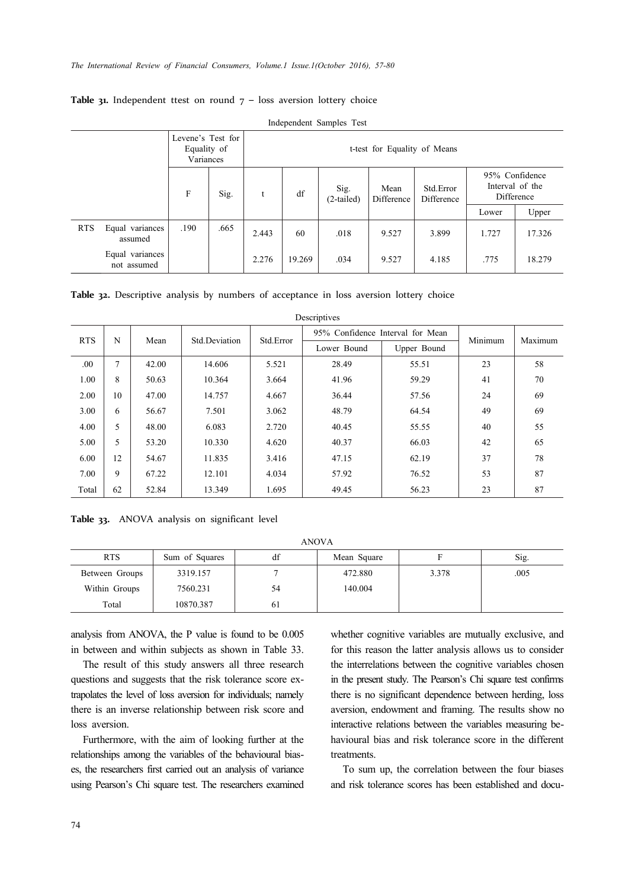|            |                                | Levene's Test for<br>Equality of<br>Variances |      |       | t-test for Equality of Means |                    |                    |                         |       |                                                 |  |
|------------|--------------------------------|-----------------------------------------------|------|-------|------------------------------|--------------------|--------------------|-------------------------|-------|-------------------------------------------------|--|
|            |                                | F                                             | Sig. | t     | df                           | Sig.<br>(2-tailed) | Mean<br>Difference | Std.Error<br>Difference |       | 95% Confidence<br>Interval of the<br>Difference |  |
|            |                                |                                               |      |       |                              |                    |                    |                         | Lower | Upper                                           |  |
| <b>RTS</b> | Equal variances<br>assumed     | .190                                          | .665 | 2.443 | 60                           | .018               | 9.527              | 3.899                   | 1.727 | 17.326                                          |  |
|            | Equal variances<br>not assumed |                                               |      | 2.276 | 19.269                       | .034               | 9.527              | 4.185                   | .775  | 18.279                                          |  |

Independent Samples Test

**Table 31.** Independent ttest on round  $7 -$  loss aversion lottery choice

| Descriptives |    |       |               |           |                                  |             |         |         |  |  |
|--------------|----|-------|---------------|-----------|----------------------------------|-------------|---------|---------|--|--|
| <b>RTS</b>   | N  | Mean  | Std.Deviation | Std.Error | 95% Confidence Interval for Mean |             | Minimum | Maximum |  |  |
|              |    |       |               |           | Lower Bound                      | Upper Bound |         |         |  |  |
| .00          | 7  | 42.00 | 14.606        | 5.521     | 28.49                            | 55.51       | 23      | 58      |  |  |
| 1.00         | 8  | 50.63 | 10.364        | 3.664     | 41.96                            | 59.29       | 41      | 70      |  |  |
| 2.00         | 10 | 47.00 | 14.757        | 4.667     | 36.44                            | 57.56       | 24      | 69      |  |  |
| 3.00         | 6  | 56.67 | 7.501         | 3.062     | 48.79                            | 64.54       | 49      | 69      |  |  |
| 4.00         | 5  | 48.00 | 6.083         | 2.720     | 40.45                            | 55.55       | 40      | 55      |  |  |
| 5.00         | 5  | 53.20 | 10.330        | 4.620     | 40.37                            | 66.03       | 42      | 65      |  |  |
| 6.00         | 12 | 54.67 | 11.835        | 3.416     | 47.15                            | 62.19       | 37      | 78      |  |  |
| 7.00         | 9  | 67.22 | 12.101        | 4.034     | 57.92                            | 76.52       | 53      | 87      |  |  |
| Total        | 62 | 52.84 | 13.349        | 1.695     | 49.45                            | 56.23       | 23      | 87      |  |  |

Descriptives

**Table 33.** ANOVA analysis on significant level

| AINU V A       |                |    |             |       |      |  |  |  |
|----------------|----------------|----|-------------|-------|------|--|--|--|
| <b>RTS</b>     | Sum of Squares | df | Mean Square |       | Sig. |  |  |  |
| Between Groups | 3319.157       |    | 472.880     | 3.378 | .005 |  |  |  |
| Within Groups  | 7560.231       | 54 | 140.004     |       |      |  |  |  |
| Total          | 10870.387      | 61 |             |       |      |  |  |  |

ANOVA

analysis from ANOVA, the P value is found to be 0.005 in between and within subjects as shown in Table 33.

The result of this study answers all three research questions and suggests that the risk tolerance score extrapolates the level of loss aversion for individuals; namely there is an inverse relationship between risk score and loss aversion.

Furthermore, with the aim of looking further at the relationships among the variables of the behavioural biases, the researchers first carried out an analysis of variance using Pearson's Chi square test. The researchers examined whether cognitive variables are mutually exclusive, and for this reason the latter analysis allows us to consider the interrelations between the cognitive variables chosen in the present study. The Pearson's Chi square test confirms there is no significant dependence between herding, loss aversion, endowment and framing. The results show no interactive relations between the variables measuring behavioural bias and risk tolerance score in the different treatments.

To sum up, the correlation between the four biases and risk tolerance scores has been established and docu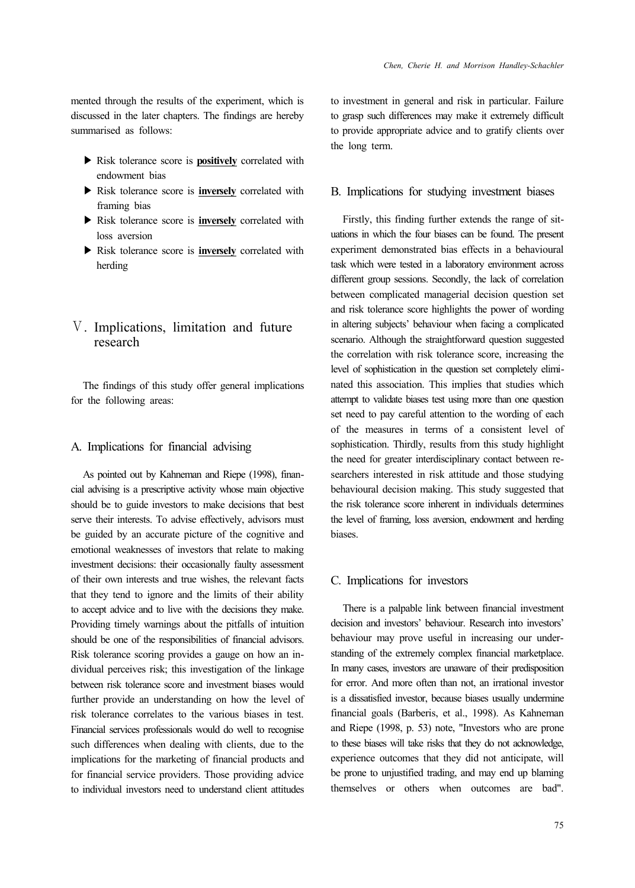mented through the results of the experiment, which is discussed in the later chapters. The findings are hereby summarised as follows:

- ▶ Risk tolerance score is **positively** correlated with endowment bias
- ▶ Risk tolerance score is **inversely** correlated with framing bias
- ▶ Risk tolerance score is **inversely** correlated with loss aversion
- ▶ Risk tolerance score is **inversely** correlated with herding

## Ⅴ. Implications, limitation and future research

The findings of this study offer general implications for the following areas:

### A. Implications for financial advising

As pointed out by Kahneman and Riepe (1998), financial advising is a prescriptive activity whose main objective should be to guide investors to make decisions that best serve their interests. To advise effectively, advisors must be guided by an accurate picture of the cognitive and emotional weaknesses of investors that relate to making investment decisions: their occasionally faulty assessment of their own interests and true wishes, the relevant facts that they tend to ignore and the limits of their ability to accept advice and to live with the decisions they make. Providing timely warnings about the pitfalls of intuition should be one of the responsibilities of financial advisors. Risk tolerance scoring provides a gauge on how an individual perceives risk; this investigation of the linkage between risk tolerance score and investment biases would further provide an understanding on how the level of risk tolerance correlates to the various biases in test. Financial services professionals would do well to recognise such differences when dealing with clients, due to the implications for the marketing of financial products and for financial service providers. Those providing advice to individual investors need to understand client attitudes to investment in general and risk in particular. Failure to grasp such differences may make it extremely difficult to provide appropriate advice and to gratify clients over the long term.

### B. Implications for studying investment biases

Firstly, this finding further extends the range of situations in which the four biases can be found. The present experiment demonstrated bias effects in a behavioural task which were tested in a laboratory environment across different group sessions. Secondly, the lack of correlation between complicated managerial decision question set and risk tolerance score highlights the power of wording in altering subjects' behaviour when facing a complicated scenario. Although the straightforward question suggested the correlation with risk tolerance score, increasing the level of sophistication in the question set completely eliminated this association. This implies that studies which attempt to validate biases test using more than one question set need to pay careful attention to the wording of each of the measures in terms of a consistent level of sophistication. Thirdly, results from this study highlight the need for greater interdisciplinary contact between researchers interested in risk attitude and those studying behavioural decision making. This study suggested that the risk tolerance score inherent in individuals determines the level of framing, loss aversion, endowment and herding biases.

### C. Implications for investors

There is a palpable link between financial investment decision and investors' behaviour. Research into investors' behaviour may prove useful in increasing our understanding of the extremely complex financial marketplace. In many cases, investors are unaware of their predisposition for error. And more often than not, an irrational investor is a dissatisfied investor, because biases usually undermine financial goals (Barberis, et al., 1998). As Kahneman and Riepe (1998, p. 53) note, "Investors who are prone to these biases will take risks that they do not acknowledge, experience outcomes that they did not anticipate, will be prone to unjustified trading, and may end up blaming themselves or others when outcomes are bad".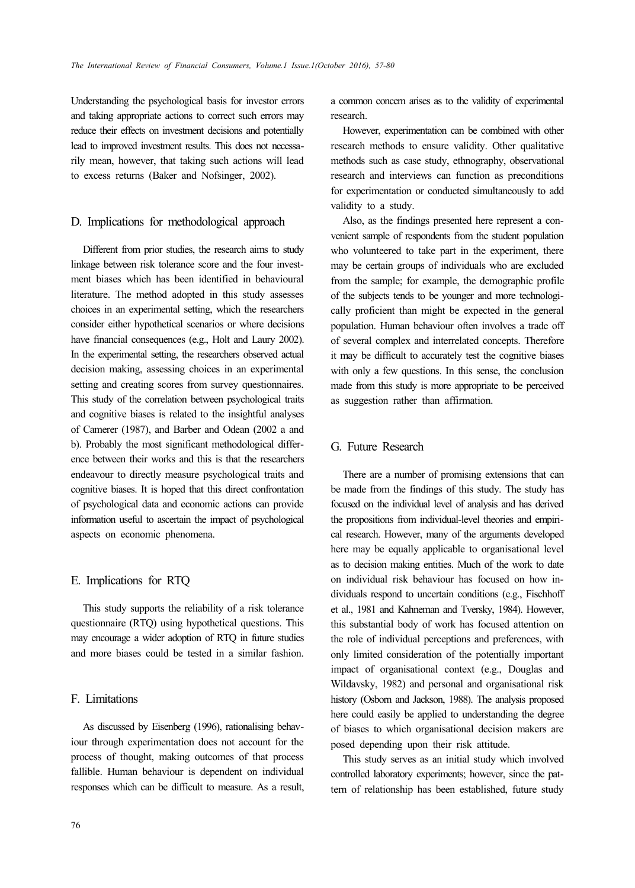Understanding the psychological basis for investor errors and taking appropriate actions to correct such errors may reduce their effects on investment decisions and potentially lead to improved investment results. This does not necessarily mean, however, that taking such actions will lead to excess returns (Baker and Nofsinger, 2002).

### D. Implications for methodological approach

Different from prior studies, the research aims to study linkage between risk tolerance score and the four investment biases which has been identified in behavioural literature. The method adopted in this study assesses choices in an experimental setting, which the researchers consider either hypothetical scenarios or where decisions have financial consequences (e.g., Holt and Laury 2002). In the experimental setting, the researchers observed actual decision making, assessing choices in an experimental setting and creating scores from survey questionnaires. This study of the correlation between psychological traits and cognitive biases is related to the insightful analyses of Camerer (1987), and Barber and Odean (2002 a and b). Probably the most significant methodological difference between their works and this is that the researchers endeavour to directly measure psychological traits and cognitive biases. It is hoped that this direct confrontation of psychological data and economic actions can provide information useful to ascertain the impact of psychological aspects on economic phenomena.

### E. Implications for RTQ

This study supports the reliability of a risk tolerance questionnaire (RTQ) using hypothetical questions. This may encourage a wider adoption of RTQ in future studies and more biases could be tested in a similar fashion.

## F. Limitations

As discussed by Eisenberg (1996), rationalising behaviour through experimentation does not account for the process of thought, making outcomes of that process fallible. Human behaviour is dependent on individual responses which can be difficult to measure. As a result, a common concern arises as to the validity of experimental research.

However, experimentation can be combined with other research methods to ensure validity. Other qualitative methods such as case study, ethnography, observational research and interviews can function as preconditions for experimentation or conducted simultaneously to add validity to a study.

Also, as the findings presented here represent a convenient sample of respondents from the student population who volunteered to take part in the experiment, there may be certain groups of individuals who are excluded from the sample; for example, the demographic profile of the subjects tends to be younger and more technologically proficient than might be expected in the general population. Human behaviour often involves a trade off of several complex and interrelated concepts. Therefore it may be difficult to accurately test the cognitive biases with only a few questions. In this sense, the conclusion made from this study is more appropriate to be perceived as suggestion rather than affirmation.

## G. Future Research

There are a number of promising extensions that can be made from the findings of this study. The study has focused on the individual level of analysis and has derived the propositions from individual-level theories and empirical research. However, many of the arguments developed here may be equally applicable to organisational level as to decision making entities. Much of the work to date on individual risk behaviour has focused on how individuals respond to uncertain conditions (e.g., Fischhoff et al., 1981 and Kahneman and Tversky, 1984). However, this substantial body of work has focused attention on the role of individual perceptions and preferences, with only limited consideration of the potentially important impact of organisational context (e.g., Douglas and Wildavsky, 1982) and personal and organisational risk history (Osborn and Jackson, 1988). The analysis proposed here could easily be applied to understanding the degree of biases to which organisational decision makers are posed depending upon their risk attitude.

This study serves as an initial study which involved controlled laboratory experiments; however, since the pattern of relationship has been established, future study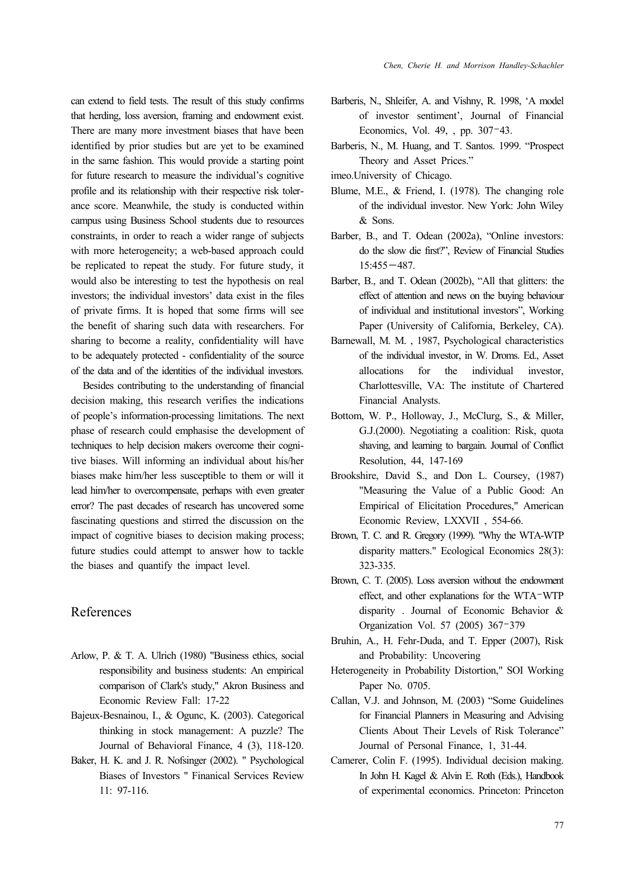can extend to field tests. The result of this study confirms that herding, loss aversion, framing and endowment exist. There are many more investment biases that have been identified by prior studies but are yet to be examined in the same fashion. This would provide a starting point for future research to measure the individual's cognitive profile and its relationship with their respective risk tolerance score. Meanwhile, the study is conducted within campus using Business School students due to resources constraints, in order to reach a wider range of subjects with more heterogeneity; a web-based approach could be replicated to repeat the study. For future study, it would also be interesting to test the hypothesis on real investors; the individual investors' data exist in the files of private firms. It is hoped that some firms will see the benefit of sharing such data with researchers. For sharing to become a reality, confidentiality will have to be adequately protected - confidentiality of the source of the data and of the identities of the individual investors.

Besides contributing to the understanding of financial decision making, this research verifies the indications of people's information-processing limitations. The next phase of research could emphasise the development of techniques to help decision makers overcome their cognitive biases. Will informing an individual about his/her biases make him/her less susceptible to them or will it lead him/her to overcompensate, perhaps with even greater error? The past decades of research has uncovered some fascinating questions and stirred the discussion on the impact of cognitive biases to decision making process; future studies could attempt to answer how to tackle the biases and quantify the impact level.

## References

- Arlow, P. & T. A. Ulrich (1980) "Business ethics, social responsibility and business students: An empirical comparison of Clark's study," Akron Business and Economic Review Fall: 17-22
- Bajeux-Besnainou, I., & Ogunc, K. (2003). Categorical thinking in stock management: A puzzle? The Journal of Behavioral Finance, 4 (3), 118-120.
- Baker, H. K. and J. R. Nofsinger (2002). " Psychological Biases of Investors " Finanical Services Review 11: 97-116.
- Barberis, N., Shleifer, A. and Vishny, R. 1998, 'A model of investor sentiment', Journal of Financial Economics, Vol. 49, , pp. 307–43.
- Barberis, N., M. Huang, and T. Santos. 1999. "Prospect Theory and Asset Prices."
- imeo.University of Chicago.
- Blume, M.E., & Friend, I. (1978). The changing role of the individual investor. New York: John Wiley & Sons.
- Barber, B., and T. Odean (2002a), "Online investors: do the slow die first?", Review of Financial Studies 15:455−487.
- Barber, B., and T. Odean (2002b), "All that glitters: the effect of attention and news on the buying behaviour of individual and institutional investors", Working Paper (University of California, Berkeley, CA).
- Barnewall, M. M. , 1987, Psychological characteristics of the individual investor, in W. Droms. Ed., Asset allocations for the individual investor, Charlottesville, VA: The institute of Chartered Financial Analysts.
- Bottom, W. P., Holloway, J., McClurg, S., & Miller, G.J.(2000). Negotiating a coalition: Risk, quota shaving, and learning to bargain. Journal of Conflict Resolution, 44, 147-169
- Brookshire, David S., and Don L. Coursey, (1987) "Measuring the Value of a Public Good: An Empirical of Elicitation Procedures," American Economic Review, LXXVII , 554-66.
- Brown, T. C. and R. Gregory (1999). "Why the WTA-WTP disparity matters." Ecological Economics 28(3): 323-335.
- Brown, C. T. (2005). Loss aversion without the endowment effect, and other explanations for the WTA–WTP disparity . Journal of Economic Behavior & Organization Vol. 57 (2005) 367–379
- Bruhin, A., H. Fehr-Duda, and T. Epper (2007), Risk and Probability: Uncovering
- Heterogeneity in Probability Distortion," SOI Working Paper No. 0705.
- Callan, V.J. and Johnson, M. (2003) "Some Guidelines for Financial Planners in Measuring and Advising Clients About Their Levels of Risk Tolerance" Journal of Personal Finance, 1, 31-44.
- Camerer, Colin F. (1995). Individual decision making. In John H. Kagel & Alvin E. Roth (Eds.), Handbook of experimental economics. Princeton: Princeton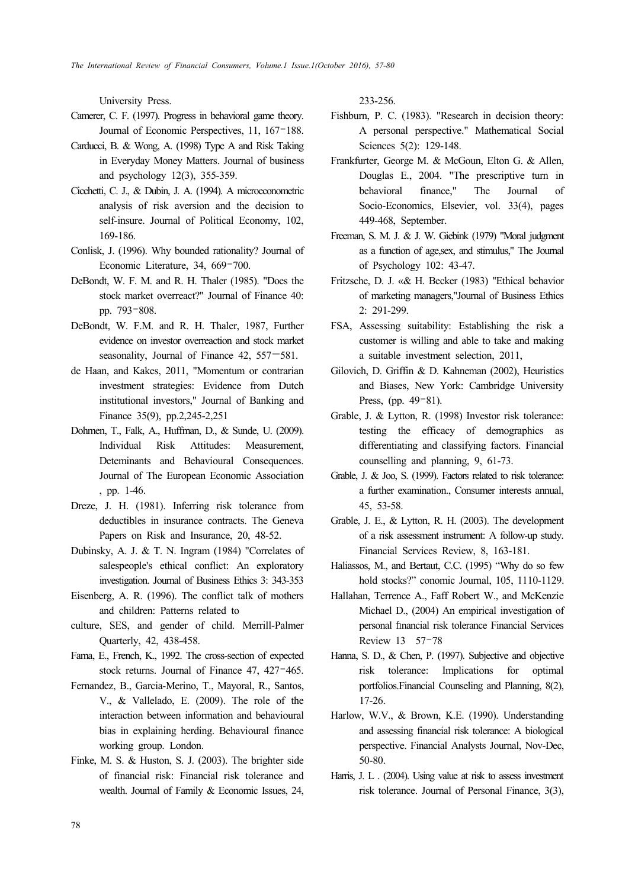University Press.

- Camerer, C. F. (1997). Progress in behavioral game theory. Journal of Economic Perspectives, 11, 167–188.
- Carducci, B. & Wong, A. (1998) Type A and Risk Taking in Everyday Money Matters. Journal of business and psychology 12(3), 355-359.
- Cicchetti, C. J., & Dubin, J. A. (1994). A microeconometric analysis of risk aversion and the decision to self-insure. Journal of Political Economy, 102, 169-186.
- Conlisk, J. (1996). Why bounded rationality? Journal of Economic Literature, 34, 669–700.
- DeBondt, W. F. M. and R. H. Thaler (1985). "Does the stock market overreact?" Journal of Finance 40: pp. 793–808.
- DeBondt, W. F.M. and R. H. Thaler, 1987, Further evidence on investor overreaction and stock market seasonality, Journal of Finance 42, 557—581.
- de Haan, and Kakes, 2011, "Momentum or contrarian investment strategies: Evidence from Dutch institutional investors," Journal of Banking and Finance 35(9), pp.2,245-2,251
- Dohmen, T., Falk, A., Huffman, D., & Sunde, U. (2009). Individual Risk Attitudes: Measurement, Deteminants and Behavioural Consequences. Journal of The European Economic Association , pp. 1-46.
- Dreze, J. H. (1981). Inferring risk tolerance from deductibles in insurance contracts. The Geneva Papers on Risk and Insurance, 20, 48-52.
- Dubinsky, A. J. & T. N. Ingram (1984) "Correlates of salespeople's ethical conflict: An exploratory investigation. Journal of Business Ethics 3: 343-353
- Eisenberg, A. R. (1996). The conflict talk of mothers and children: Patterns related to
- culture, SES, and gender of child. Merrill-Palmer Quarterly, 42, 438-458.
- Fama, E., French, K., 1992. The cross-section of expected stock returns. Journal of Finance 47, 427–465.
- Fernandez, B., Garcia-Merino, T., Mayoral, R., Santos, V., & Vallelado, E. (2009). The role of the interaction between information and behavioural bias in explaining herding. Behavioural finance working group. London.
- Finke, M. S. & Huston, S. J. (2003). The brighter side of financial risk: Financial risk tolerance and wealth. Journal of Family & Economic Issues, 24,

233-256.

- Fishburn, P. C. (1983). "Research in decision theory: A personal perspective." Mathematical Social Sciences 5(2): 129-148.
- Frankfurter, George M. & McGoun, Elton G. & Allen, Douglas E., 2004. "The prescriptive turn in behavioral finance," The Journal of Socio-Economics, Elsevier, vol. 33(4), pages 449-468, September.
- Freeman, S. M. J. & J. W. Giebink (1979) "Moral judgment as a function of age,sex, and stimulus," The Journal of Psychology 102: 43-47.
- Fritzsche, D. J. «& H. Becker (1983) "Ethical behavior of marketing managers,"Journal of Business Ethics 2: 291-299.
- FSA, Assessing suitability: Establishing the risk a customer is willing and able to take and making a suitable investment selection, 2011,
- Gilovich, D. Griffin & D. Kahneman (2002), Heuristics and Biases, New York: Cambridge University Press, (pp. 49–81).
- Grable, J. & Lytton, R. (1998) Investor risk tolerance: testing the efficacy of demographics as differentiating and classifying factors. Financial counselling and planning, 9, 61-73.
- Grable, J. & Joo, S. (1999). Factors related to risk tolerance: a further examination., Consumer interests annual, 45, 53-58.
- Grable, J. E., & Lytton, R. H. (2003). The development of a risk assessment instrument: A follow-up study. Financial Services Review, 8, 163-181.
- Haliassos, M., and Bertaut, C.C. (1995) "Why do so few hold stocks?" conomic Journal, 105, 1110-1129.
- Hallahan, Terrence A., Faff Robert W., and McKenzie Michael D., (2004) An empirical investigation of personal financial risk tolerance Financial Services Review 13 57–78
- Hanna, S. D., & Chen, P. (1997). Subjective and objective risk tolerance: Implications for optimal portfolios.Financial Counseling and Planning, 8(2), 17-26.
- Harlow, W.V., & Brown, K.E. (1990). Understanding and assessing financial risk tolerance: A biological perspective. Financial Analysts Journal, Nov-Dec, 50-80.
- Harris, J. L . (2004). Using value at risk to assess investment risk tolerance. Journal of Personal Finance, 3(3),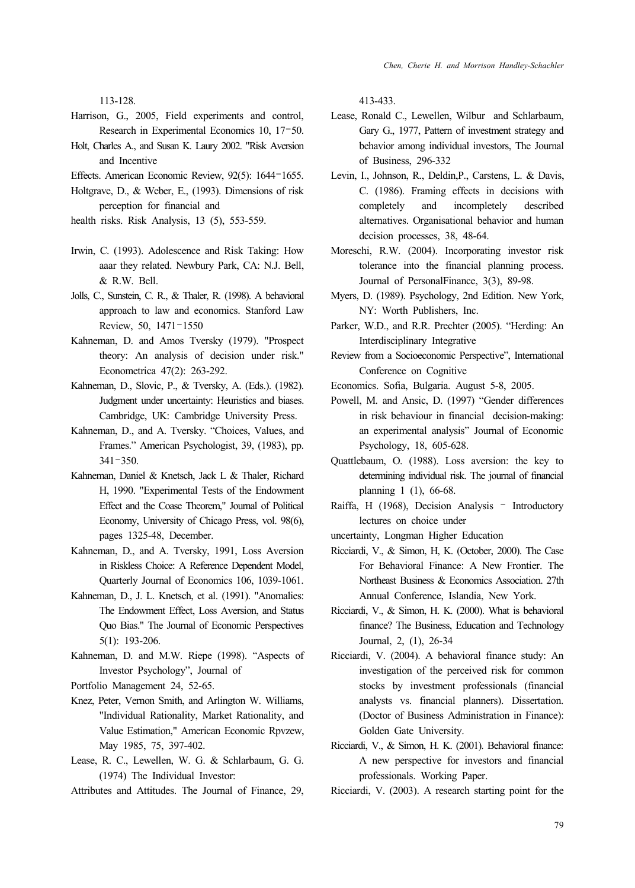113-128.

- Harrison, G., 2005, Field experiments and control, Research in Experimental Economics 10, 17–50.
- Holt, Charles A., and Susan K. Laury 2002. "Risk Aversion and Incentive
- Effects. American Economic Review, 92(5): 1644–1655.
- Holtgrave, D., & Weber, E., (1993). Dimensions of risk perception for financial and
- health risks. Risk Analysis, 13 (5), 553-559.
- Irwin, C. (1993). Adolescence and Risk Taking: How aaar they related. Newbury Park, CA: N.J. Bell, & R.W. Bell.
- Jolls, C., Sunstein, C. R., & Thaler, R. (1998). A behavioral approach to law and economics. Stanford Law Review, 50, 1471–1550
- Kahneman, D. and Amos Tversky (1979). "Prospect theory: An analysis of decision under risk." Econometrica 47(2): 263-292.
- Kahneman, D., Slovic, P., & Tversky, A. (Eds.). (1982). Judgment under uncertainty: Heuristics and biases. Cambridge, UK: Cambridge University Press.
- Kahneman, D., and A. Tversky. "Choices, Values, and Frames." American Psychologist, 39, (1983), pp. 341–350.
- Kahneman, Daniel & Knetsch, Jack L & Thaler, Richard H, 1990. "Experimental Tests of the Endowment Effect and the Coase Theorem," Journal of Political Economy, University of Chicago Press, vol. 98(6), pages 1325-48, December.
- Kahneman, D., and A. Tversky, 1991, Loss Aversion in Riskless Choice: A Reference Dependent Model, Quarterly Journal of Economics 106, 1039-1061.
- Kahneman, D., J. L. Knetsch, et al. (1991). "Anomalies: The Endowment Effect, Loss Aversion, and Status Quo Bias." The Journal of Economic Perspectives 5(1): 193-206.
- Kahneman, D. and M.W. Riepe (1998). "Aspects of Investor Psychology", Journal of
- Portfolio Management 24, 52-65.
- Knez, Peter, Vernon Smith, and Arlington W. Williams, "Individual Rationality, Market Rationality, and Value Estimation," American Economic Rpvzew, May 1985, 75, 397-402.
- Lease, R. C., Lewellen, W. G. & Schlarbaum, G. G. (1974) The Individual Investor:
- Attributes and Attitudes. The Journal of Finance, 29,

413-433.

- Lease, Ronald C., Lewellen, Wilbur and Schlarbaum, Gary G., 1977, Pattern of investment strategy and behavior among individual investors, The Journal of Business, 296-332
- Levin, I., Johnson, R., Deldin,P., Carstens, L. & Davis, C. (1986). Framing effects in decisions with completely and incompletely described alternatives. Organisational behavior and human decision processes, 38, 48-64.
- Moreschi, R.W. (2004). Incorporating investor risk tolerance into the financial planning process. Journal of PersonalFinance, 3(3), 89-98.
- Myers, D. (1989). Psychology, 2nd Edition. New York, NY: Worth Publishers, Inc.
- Parker, W.D., and R.R. Prechter (2005). "Herding: An Interdisciplinary Integrative
- Review from a Socioeconomic Perspective", International Conference on Cognitive
- Economics. Sofia, Bulgaria. August 5-8, 2005.
- Powell, M. and Ansic, D. (1997) "Gender differences in risk behaviour in financial decision-making: an experimental analysis" Journal of Economic Psychology, 18, 605-628.
- Quattlebaum, O. (1988). Loss aversion: the key to determining individual risk. The journal of financial planning 1 (1), 66-68.
- Raiffa, H (1968), Decision Analysis Introductory lectures on choice under
- uncertainty, Longman Higher Education
- Ricciardi, V., & Simon, H, K. (October, 2000). The Case For Behavioral Finance: A New Frontier. The Northeast Business & Economics Association. 27th Annual Conference, Islandia, New York.
- Ricciardi, V., & Simon, H. K. (2000). What is behavioral finance? The Business, Education and Technology Journal, 2, (1), 26-34
- Ricciardi, V. (2004). A behavioral finance study: An investigation of the perceived risk for common stocks by investment professionals (financial analysts vs. financial planners). Dissertation. (Doctor of Business Administration in Finance): Golden Gate University.
- Ricciardi, V., & Simon, H. K. (2001). Behavioral finance: A new perspective for investors and financial professionals. Working Paper.
- Ricciardi, V. (2003). A research starting point for the